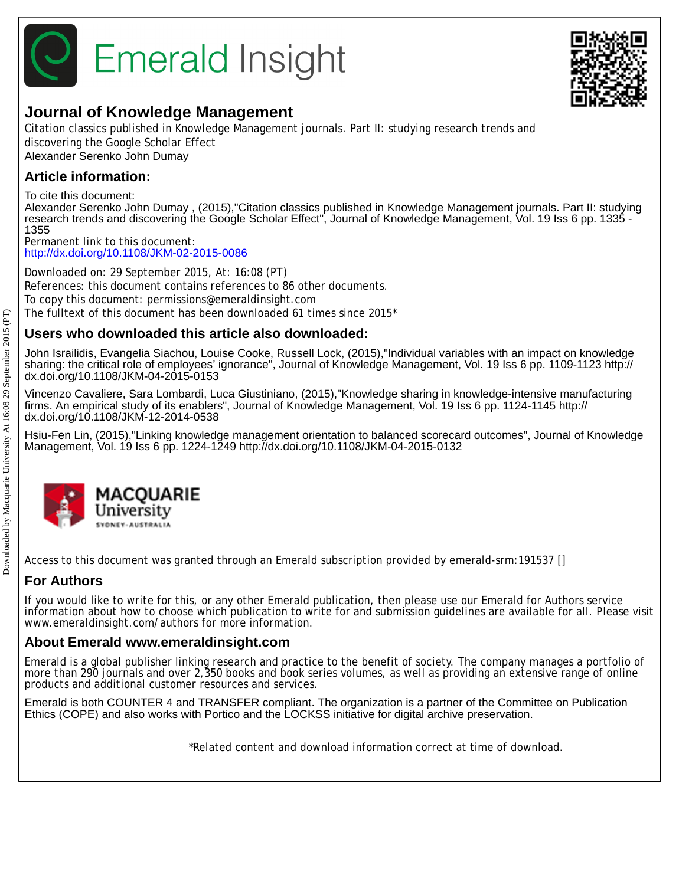



Citation classics published in Knowledge Management journals. Part II: studying research trends and discovering the Google Scholar Effect Alexander Serenko John Dumay

# **Article information:**

To cite this document:

Alexander Serenko John Dumay , (2015),"Citation classics published in Knowledge Management journals. Part II: studying research trends and discovering the Google Scholar Effect", Journal of Knowledge Management, Vol. 19 Iss 6 pp. 1335 -1355

Permanent link to this document: <http://dx.doi.org/10.1108/JKM-02-2015-0086>

Downloaded on: 29 September 2015, At: 16:08 (PT) References: this document contains references to 86 other documents. To copy this document: permissions@emeraldinsight.com The fulltext of this document has been downloaded 61 times since 2015\*

# **Users who downloaded this article also downloaded:**

John Israilidis, Evangelia Siachou, Louise Cooke, Russell Lock, (2015),"Individual variables with an impact on knowledge sharing: the critical role of employees' ignorance", Journal of Knowledge Management, Vol. 19 Iss 6 pp. 1109-1123 http:// dx.doi.org/10.1108/JKM-04-2015-0153

Vincenzo Cavaliere, Sara Lombardi, Luca Giustiniano, (2015),"Knowledge sharing in knowledge-intensive manufacturing firms. An empirical study of its enablers", Journal of Knowledge Management, Vol. 19 Iss 6 pp. 1124-1145 http:// dx.doi.org/10.1108/JKM-12-2014-0538

Hsiu-Fen Lin, (2015),"Linking knowledge management orientation to balanced scorecard outcomes", Journal of Knowledge Management, Vol. 19 Iss 6 pp. 1224-1249 http://dx.doi.org/10.1108/JKM-04-2015-0132



Access to this document was granted through an Emerald subscription provided by emerald-srm:191537 []

# **For Authors**

If you would like to write for this, or any other Emerald publication, then please use our Emerald for Authors service information about how to choose which publication to write for and submission guidelines are available for all. Please visit www.emeraldinsight.com/authors for more information.

# **About Emerald www.emeraldinsight.com**

Emerald is a global publisher linking research and practice to the benefit of society. The company manages a portfolio of more than 290 journals and over 2,350 books and book series volumes, as well as providing an extensive range of online products and additional customer resources and services.

Emerald is both COUNTER 4 and TRANSFER compliant. The organization is a partner of the Committee on Publication Ethics (COPE) and also works with Portico and the LOCKSS initiative for digital archive preservation.

\*Related content and download information correct at time of download.

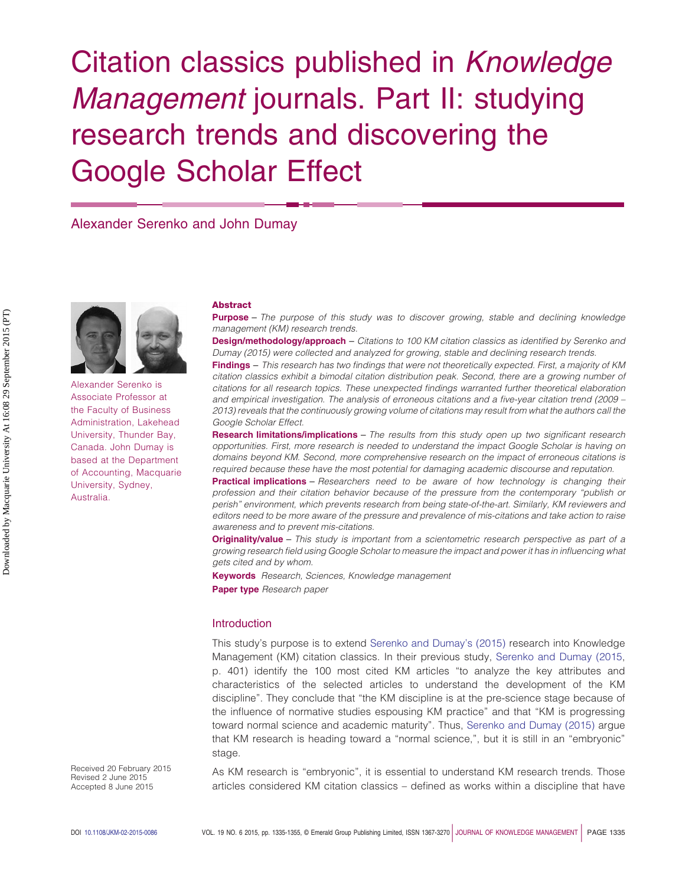# Citation classics published in *Knowledge Management* journals. Part II: studying research trends and discovering the Google Scholar Effect

# Alexander Serenko and John Dumay



Alexander Serenko is Associate Professor at the Faculty of Business Administration, Lakehead University, Thunder Bay, Canada. John Dumay is based at the Department of Accounting, Macquarie University, Sydney, Australia.

Received 20 February 2015 Revised 2 June 2015 Accepted 8 June 2015

As KM research is "embryonic", it is essential to understand KM research trends. Those articles considered KM citation classics – defined as works within a discipline that have

#### **Abstract**

**Purpose** – *The purpose of this study was to discover growing, stable and declining knowledge management (KM) research trends.*

**Design/methodology/approach** – *Citations to 100 KM citation classics as identified by Serenko and Dumay (2015) were collected and analyzed for growing, stable and declining research trends.*

**Findings** – *This research has two findings that were not theoretically expected. First, a majority of KM citation classics exhibit a bimodal citation distribution peak. Second, there are a growing number of citations for all research topics. These unexpected findings warranted further theoretical elaboration and empirical investigation. The analysis of erroneous citations and a five-year citation trend (2009 – 2013) reveals that the continuously growing volume of citations may result from what the authors call the Google Scholar Effect.*

**Research limitations/implications** – *The results from this study open up two significant research opportunities. First, more research is needed to understand the impact Google Scholar is having on domains beyond KM. Second, more comprehensive research on the impact of erroneous citations is required because these have the most potential for damaging academic discourse and reputation.*

**Practical implications** – *Researchers need to be aware of how technology is changing their profession and their citation behavior because of the pressure from the contemporary "publish or perish" environment, which prevents research from being state-of-the-art. Similarly, KM reviewers and editors need to be more aware of the pressure and prevalence of mis-citations and take action to raise awareness and to prevent mis-citations.*

**Originality/value** – *This study is important from a scientometric research perspective as part of a growing research field using Google Scholar to measure the impact and power it has in influencing what gets cited and by whom.*

**Keywords** *Research, Sciences, Knowledge management* **Paper type** *Research paper*

## **Introduction**

This study's purpose is to extend [Serenko and Dumay's \(2015\)](#page-20-0) research into Knowledge Management (KM) citation classics. In their previous study, [Serenko and Dumay \(2015,](#page-20-0) p. 401) identify the 100 most cited KM articles "to analyze the key attributes and characteristics of the selected articles to understand the development of the KM discipline". They conclude that "the KM discipline is at the pre-science stage because of the influence of normative studies espousing KM practice" and that "KM is progressing toward normal science and academic maturity". Thus, [Serenko and Dumay \(2015\)](#page-20-0) argue that KM research is heading toward a "normal science,", but it is still in an "embryonic" stage.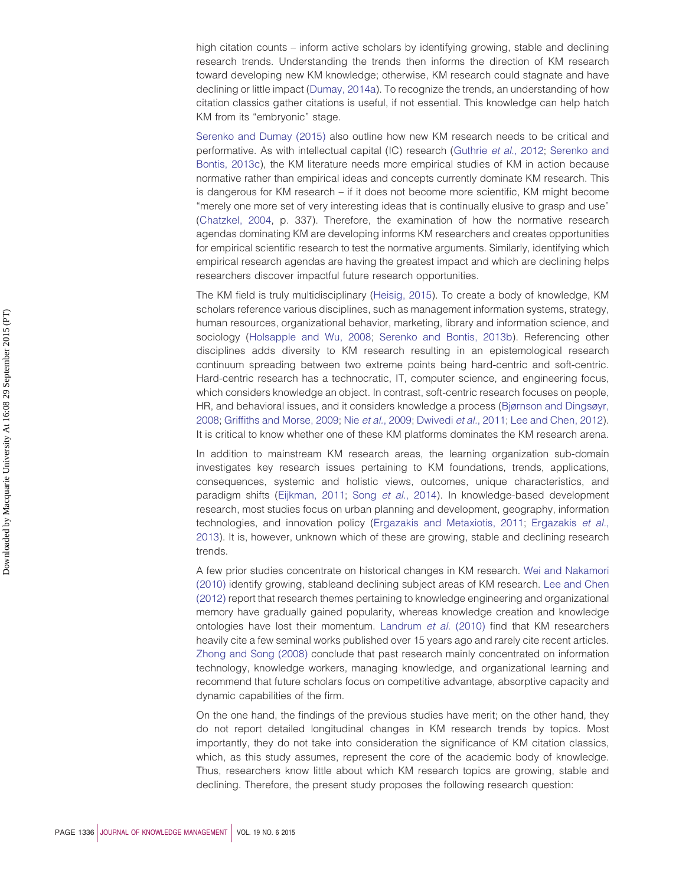high citation counts – inform active scholars by identifying growing, stable and declining research trends. Understanding the trends then informs the direction of KM research toward developing new KM knowledge; otherwise, KM research could stagnate and have declining or little impact [\(Dumay, 2014a\)](#page-18-0). To recognize the trends, an understanding of how citation classics gather citations is useful, if not essential. This knowledge can help hatch KM from its "embryonic" stage.

[Serenko and Dumay \(2015\)](#page-20-0) also outline how new KM research needs to be critical and performative. As with intellectual capital (IC) research [\(Guthrie](#page-18-1) *et al.*, 2012; [Serenko and](#page-20-1) [Bontis, 2013c\)](#page-20-1), the KM literature needs more empirical studies of KM in action because normative rather than empirical ideas and concepts currently dominate KM research. This is dangerous for KM research – if it does not become more scientific, KM might become "merely one more set of very interesting ideas that is continually elusive to grasp and use" [\(Chatzkel, 2004,](#page-18-2) p. 337). Therefore, the examination of how the normative research agendas dominating KM are developing informs KM researchers and creates opportunities for empirical scientific research to test the normative arguments. Similarly, identifying which empirical research agendas are having the greatest impact and which are declining helps researchers discover impactful future research opportunities.

The KM field is truly multidisciplinary [\(Heisig, 2015\)](#page-19-0). To create a body of knowledge, KM scholars reference various disciplines, such as management information systems, strategy, human resources, organizational behavior, marketing, library and information science, and sociology [\(Holsapple and Wu, 2008;](#page-19-1) [Serenko and Bontis, 2013b\)](#page-20-2). Referencing other disciplines adds diversity to KM research resulting in an epistemological research continuum spreading between two extreme points being hard-centric and soft-centric. Hard-centric research has a technocratic, IT, computer science, and engineering focus, which considers knowledge an object. In contrast, soft-centric research focuses on people, HR, and behavioral issues, and it considers knowledge a process [\(Bjørnson and Dingsøyr,](#page-17-0) [2008;](#page-17-0) [Griffiths and Morse, 2009;](#page-18-3) Nie *et al.*[, 2009;](#page-19-2) [Dwivedi](#page-18-4) *et al.*, 2011; [Lee and Chen, 2012\)](#page-19-3). It is critical to know whether one of these KM platforms dominates the KM research arena.

In addition to mainstream KM research areas, the learning organization sub-domain investigates key research issues pertaining to KM foundations, trends, applications, consequences, systemic and holistic views, outcomes, unique characteristics, and paradigm shifts [\(Eijkman, 2011;](#page-18-5) Song *et al.*[, 2014\)](#page-20-3). In knowledge-based development research, most studies focus on urban planning and development, geography, information technologies, and innovation policy [\(Ergazakis and Metaxiotis, 2011;](#page-18-6) [Ergazakis](#page-18-7) *et al.*, [2013\)](#page-18-7). It is, however, unknown which of these are growing, stable and declining research trends.

A few prior studies concentrate on historical changes in KM research. [Wei and Nakamori](#page-21-0) [\(2010\)](#page-21-0) identify growing, stableand declining subject areas of KM research. [Lee and Chen](#page-19-3) [\(2012\)](#page-19-3) report that research themes pertaining to knowledge engineering and organizational memory have gradually gained popularity, whereas knowledge creation and knowledge ontologies have lost their momentum. [Landrum](#page-19-4) *et al.* (2010) find that KM researchers heavily cite a few seminal works published over 15 years ago and rarely cite recent articles. [Zhong and Song \(2008\)](#page-21-1) conclude that past research mainly concentrated on information technology, knowledge workers, managing knowledge, and organizational learning and recommend that future scholars focus on competitive advantage, absorptive capacity and dynamic capabilities of the firm.

On the one hand, the findings of the previous studies have merit; on the other hand, they do not report detailed longitudinal changes in KM research trends by topics. Most importantly, they do not take into consideration the significance of KM citation classics, which, as this study assumes, represent the core of the academic body of knowledge. Thus, researchers know little about which KM research topics are growing, stable and declining. Therefore, the present study proposes the following research question: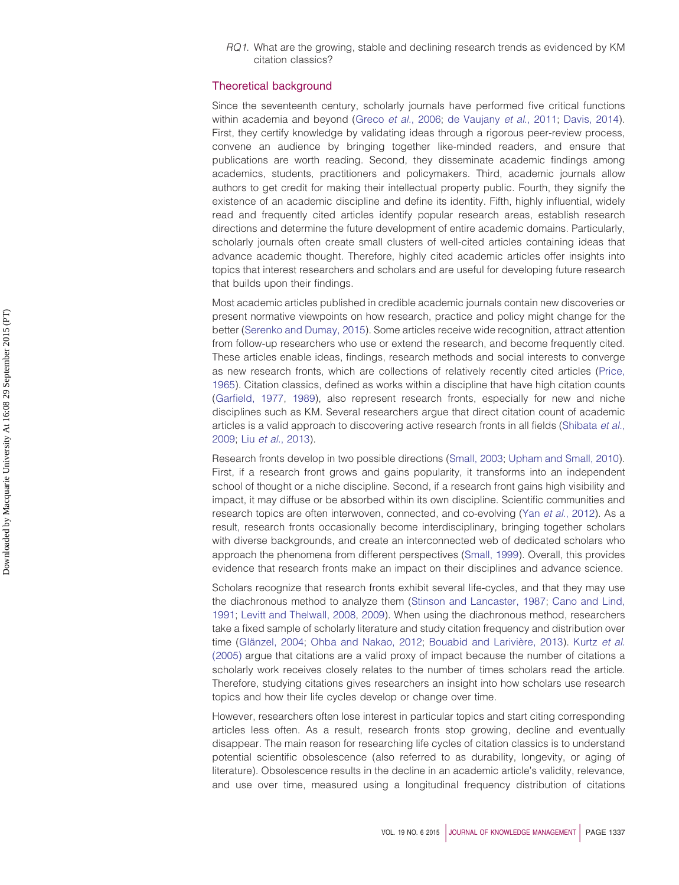*RQ1*. What are the growing, stable and declining research trends as evidenced by KM citation classics?

# Theoretical background

Since the seventeenth century, scholarly journals have performed five critical functions within academia and beyond (Greco *et al.*[, 2006;](#page-18-8) [de Vaujany](#page-18-9) *et al*., 2011; [Davis, 2014\)](#page-18-10). First, they certify knowledge by validating ideas through a rigorous peer-review process, convene an audience by bringing together like-minded readers, and ensure that publications are worth reading. Second, they disseminate academic findings among academics, students, practitioners and policymakers. Third, academic journals allow authors to get credit for making their intellectual property public. Fourth, they signify the existence of an academic discipline and define its identity. Fifth, highly influential, widely read and frequently cited articles identify popular research areas, establish research directions and determine the future development of entire academic domains. Particularly, scholarly journals often create small clusters of well-cited articles containing ideas that advance academic thought. Therefore, highly cited academic articles offer insights into topics that interest researchers and scholars and are useful for developing future research that builds upon their findings.

Most academic articles published in credible academic journals contain new discoveries or present normative viewpoints on how research, practice and policy might change for the better [\(Serenko and Dumay, 2015\)](#page-20-0). Some articles receive wide recognition, attract attention from follow-up researchers who use or extend the research, and become frequently cited. These articles enable ideas, findings, research methods and social interests to converge as new research fronts, which are collections of relatively recently cited articles [\(Price,](#page-20-4) [1965\)](#page-20-4). Citation classics, defined as works within a discipline that have high citation counts [\(Garfield, 1977,](#page-18-11) [1989\)](#page-18-12), also represent research fronts, especially for new and niche disciplines such as KM. Several researchers argue that direct citation count of academic articles is a valid approach to discovering active research fronts in all fields [\(Shibata](#page-20-5) *et al.*, [2009;](#page-20-5) Liu *et al.*[, 2013\)](#page-19-5).

Research fronts develop in two possible directions [\(Small, 2003;](#page-20-6) [Upham and Small, 2010\)](#page-20-7). First, if a research front grows and gains popularity, it transforms into an independent school of thought or a niche discipline. Second, if a research front gains high visibility and impact, it may diffuse or be absorbed within its own discipline. Scientific communities and research topics are often interwoven, connected, and co-evolving (Yan *et al.*[, 2012\)](#page-21-2). As a result, research fronts occasionally become interdisciplinary, bringing together scholars with diverse backgrounds, and create an interconnected web of dedicated scholars who approach the phenomena from different perspectives [\(Small, 1999\)](#page-20-8). Overall, this provides evidence that research fronts make an impact on their disciplines and advance science.

Scholars recognize that research fronts exhibit several life-cycles, and that they may use the diachronous method to analyze them [\(Stinson and Lancaster, 1987;](#page-20-9) [Cano and Lind,](#page-17-1) [1991;](#page-17-1) [Levitt and Thelwall, 2008,](#page-19-6) [2009\)](#page-19-7). When using the diachronous method, researchers take a fixed sample of scholarly literature and study citation frequency and distribution over time [\(Glänzel, 2004;](#page-18-13) [Ohba and Nakao, 2012;](#page-19-8) [Bouabid and Larivière, 2013\)](#page-17-2). [Kurtz](#page-19-9) *et al.* [\(2005\)](#page-19-9) argue that citations are a valid proxy of impact because the number of citations a scholarly work receives closely relates to the number of times scholars read the article. Therefore, studying citations gives researchers an insight into how scholars use research topics and how their life cycles develop or change over time.

However, researchers often lose interest in particular topics and start citing corresponding articles less often. As a result, research fronts stop growing, decline and eventually disappear. The main reason for researching life cycles of citation classics is to understand potential scientific obsolescence (also referred to as durability, longevity, or aging of literature). Obsolescence results in the decline in an academic article's validity, relevance, and use over time, measured using a longitudinal frequency distribution of citations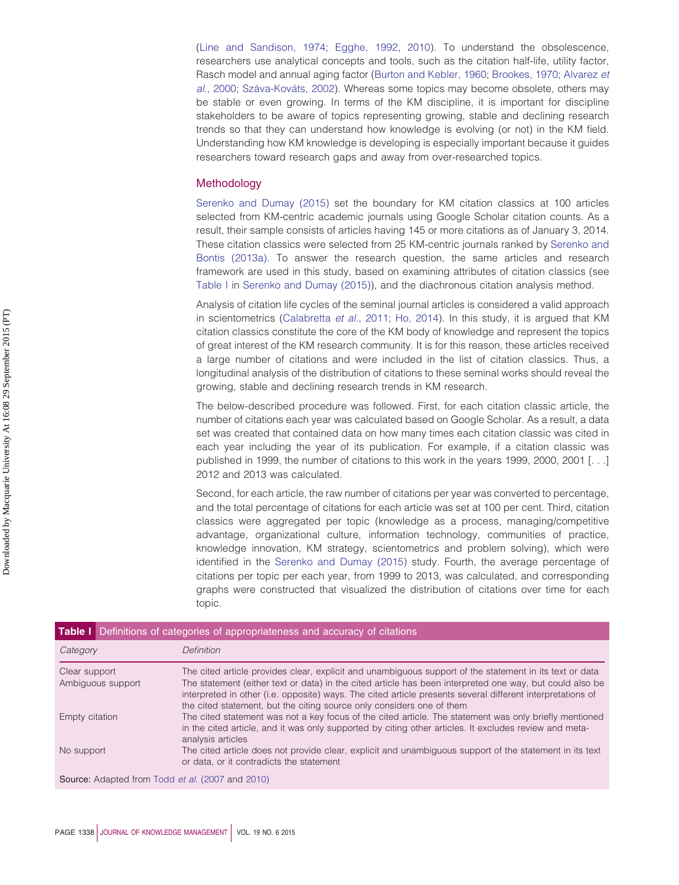[\(Line and Sandison, 1974;](#page-19-10) [Egghe, 1992,](#page-18-14) [2010\)](#page-18-15). To understand the obsolescence, researchers use analytical concepts and tools, such as the citation half-life, utility factor, Rasch model and annual aging factor [\(Burton and Kebler, 1960;](#page-17-3) [Brookes, 1970;](#page-17-4) [Alvarez](#page-17-5) *et al.*[, 2000;](#page-17-5) [Száva-Kováts, 2002\)](#page-20-10). Whereas some topics may become obsolete, others may be stable or even growing. In terms of the KM discipline, it is important for discipline stakeholders to be aware of topics representing growing, stable and declining research trends so that they can understand how knowledge is evolving (or not) in the KM field. Understanding how KM knowledge is developing is especially important because it guides researchers toward research gaps and away from over-researched topics.

#### **Methodology**

[Serenko and Dumay \(2015\)](#page-20-0) set the boundary for KM citation classics at 100 articles selected from KM-centric academic journals using Google Scholar citation counts. As a result, their sample consists of articles having 145 or more citations as of January 3, 2014. These citation classics were selected from 25 KM-centric journals ranked by [Serenko and](#page-20-11) [Bontis \(2013a\).](#page-20-11) To answer the research question, the same articles and research framework are used in this study, based on examining attributes of citation classics (see [Table I](#page-4-0) in [Serenko and Dumay \(2015\)\)](#page-20-0), and the diachronous citation analysis method.

Analysis of citation life cycles of the seminal journal articles is considered a valid approach in scientometrics [\(Calabretta](#page-17-6) *et al.*, 2011; [Ho, 2014\)](#page-19-11). In this study, it is argued that KM citation classics constitute the core of the KM body of knowledge and represent the topics of great interest of the KM research community. It is for this reason, these articles received a large number of citations and were included in the list of citation classics. Thus, a longitudinal analysis of the distribution of citations to these seminal works should reveal the growing, stable and declining research trends in KM research.

The below-described procedure was followed. First, for each citation classic article, the number of citations each year was calculated based on Google Scholar. As a result, a data set was created that contained data on how many times each citation classic was cited in each year including the year of its publication. For example, if a citation classic was published in 1999, the number of citations to this work in the years 1999, 2000, 2001 [. . .] 2012 and 2013 was calculated.

Second, for each article, the raw number of citations per year was converted to percentage, and the total percentage of citations for each article was set at 100 per cent. Third, citation classics were aggregated per topic (knowledge as a process, managing/competitive advantage, organizational culture, information technology, communities of practice, knowledge innovation, KM strategy, scientometrics and problem solving), which were identified in the [Serenko and Dumay \(2015\)](#page-20-0) study. Fourth, the average percentage of citations per topic per each year, from 1999 to 2013, was calculated, and corresponding graphs were constructed that visualized the distribution of citations over time for each topic.

<span id="page-4-0"></span>

| Table I Definitions of categories of appropriateness and accuracy of citations |                                                                                                                                                                                                                                                                                                                                                                                                            |
|--------------------------------------------------------------------------------|------------------------------------------------------------------------------------------------------------------------------------------------------------------------------------------------------------------------------------------------------------------------------------------------------------------------------------------------------------------------------------------------------------|
| Category                                                                       | Definition                                                                                                                                                                                                                                                                                                                                                                                                 |
| Clear support<br>Ambiguous support                                             | The cited article provides clear, explicit and unambiguous support of the statement in its text or data<br>The statement (either text or data) in the cited article has been interpreted one way, but could also be<br>interpreted in other (i.e. opposite) ways. The cited article presents several different interpretations of<br>the cited statement, but the citing source only considers one of them |
| Empty citation                                                                 | The cited statement was not a key focus of the cited article. The statement was only briefly mentioned<br>in the cited article, and it was only supported by citing other articles. It excludes review and meta-<br>analysis articles                                                                                                                                                                      |
| No support                                                                     | The cited article does not provide clear, explicit and unambiguous support of the statement in its text<br>or data, or it contradicts the statement                                                                                                                                                                                                                                                        |
| Source: Adapted from Todd et al. (2007 and 2010)                               |                                                                                                                                                                                                                                                                                                                                                                                                            |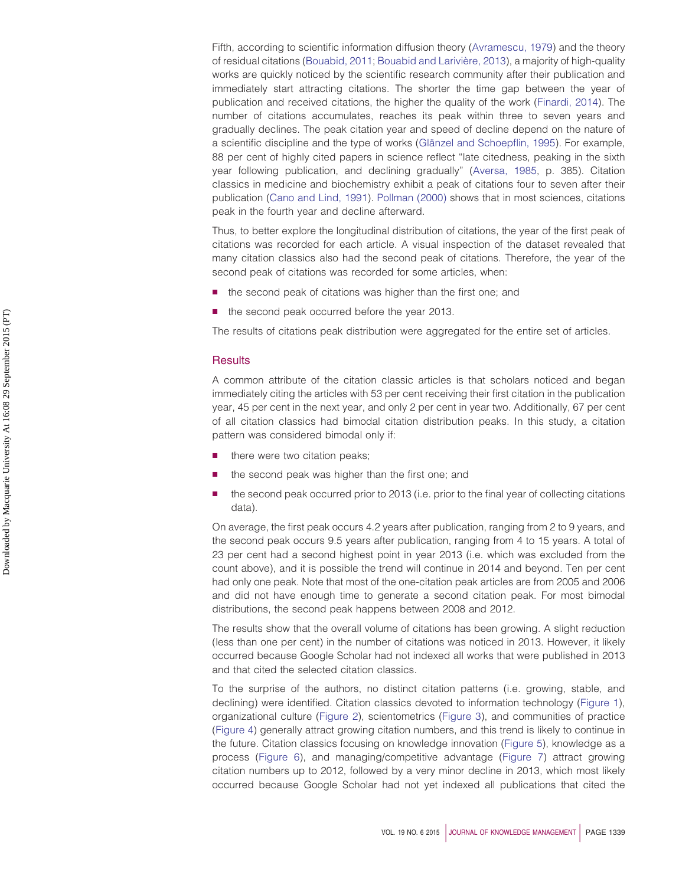Fifth, according to scientific information diffusion theory [\(Avramescu, 1979\)](#page-17-7) and the theory of residual citations [\(Bouabid, 2011;](#page-17-8) [Bouabid and Larivière, 2013\)](#page-17-2), a majority of high-quality works are quickly noticed by the scientific research community after their publication and immediately start attracting citations. The shorter the time gap between the year of publication and received citations, the higher the quality of the work [\(Finardi, 2014\)](#page-18-16). The number of citations accumulates, reaches its peak within three to seven years and gradually declines. The peak citation year and speed of decline depend on the nature of a scientific discipline and the type of works [\(Glänzel and Schoepflin, 1995\)](#page-18-17). For example, 88 per cent of highly cited papers in science reflect "late citedness, peaking in the sixth year following publication, and declining gradually" [\(Aversa, 1985,](#page-17-9) p. 385). Citation classics in medicine and biochemistry exhibit a peak of citations four to seven after their publication [\(Cano and Lind, 1991\)](#page-17-1). [Pollman \(2000\)](#page-20-14) shows that in most sciences, citations peak in the fourth year and decline afterward.

Thus, to better explore the longitudinal distribution of citations, the year of the first peak of citations was recorded for each article. A visual inspection of the dataset revealed that many citation classics also had the second peak of citations. Therefore, the year of the second peak of citations was recorded for some articles, when:

- the second peak of citations was higher than the first one; and
- the second peak occurred before the year 2013.

The results of citations peak distribution were aggregated for the entire set of articles.

#### **Results**

A common attribute of the citation classic articles is that scholars noticed and began immediately citing the articles with 53 per cent receiving their first citation in the publication year, 45 per cent in the next year, and only 2 per cent in year two. Additionally, 67 per cent of all citation classics had bimodal citation distribution peaks. In this study, a citation pattern was considered bimodal only if:

- there were two citation peaks;
- the second peak was higher than the first one; and
- the second peak occurred prior to 2013 (i.e. prior to the final year of collecting citations data).

On average, the first peak occurs 4.2 years after publication, ranging from 2 to 9 years, and the second peak occurs 9.5 years after publication, ranging from 4 to 15 years. A total of 23 per cent had a second highest point in year 2013 (i.e. which was excluded from the count above), and it is possible the trend will continue in 2014 and beyond. Ten per cent had only one peak. Note that most of the one-citation peak articles are from 2005 and 2006 and did not have enough time to generate a second citation peak. For most bimodal distributions, the second peak happens between 2008 and 2012.

The results show that the overall volume of citations has been growing. A slight reduction (less than one per cent) in the number of citations was noticed in 2013. However, it likely occurred because Google Scholar had not indexed all works that were published in 2013 and that cited the selected citation classics.

To the surprise of the authors, no distinct citation patterns (i.e. growing, stable, and declining) were identified. Citation classics devoted to information technology [\(Figure 1\)](#page-6-0), organizational culture [\(Figure 2\)](#page-6-1), scientometrics [\(Figure 3\)](#page-7-0), and communities of practice [\(Figure 4\)](#page-7-1) generally attract growing citation numbers, and this trend is likely to continue in the future. Citation classics focusing on knowledge innovation [\(Figure 5\)](#page-8-0), knowledge as a process [\(Figure 6\)](#page-8-1), and managing/competitive advantage [\(Figure 7\)](#page-9-0) attract growing citation numbers up to 2012, followed by a very minor decline in 2013, which most likely occurred because Google Scholar had not yet indexed all publications that cited the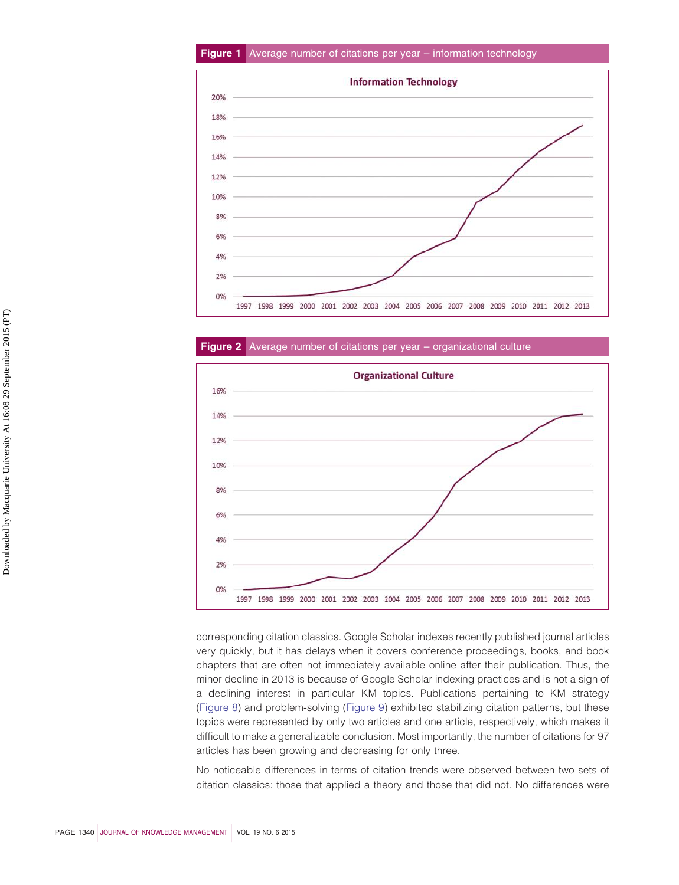## **Figure 1** Average number of citations per year – information technology

<span id="page-6-0"></span>

**Figure 2** Average number of citations per year – organizational culture

<span id="page-6-1"></span>

corresponding citation classics. Google Scholar indexes recently published journal articles very quickly, but it has delays when it covers conference proceedings, books, and book chapters that are often not immediately available online after their publication. Thus, the minor decline in 2013 is because of Google Scholar indexing practices and is not a sign of a declining interest in particular KM topics. Publications pertaining to KM strategy [\(Figure 8\)](#page-9-1) and problem-solving [\(Figure 9\)](#page-10-0) exhibited stabilizing citation patterns, but these topics were represented by only two articles and one article, respectively, which makes it difficult to make a generalizable conclusion. Most importantly, the number of citations for 97 articles has been growing and decreasing for only three.

No noticeable differences in terms of citation trends were observed between two sets of citation classics: those that applied a theory and those that did not. No differences were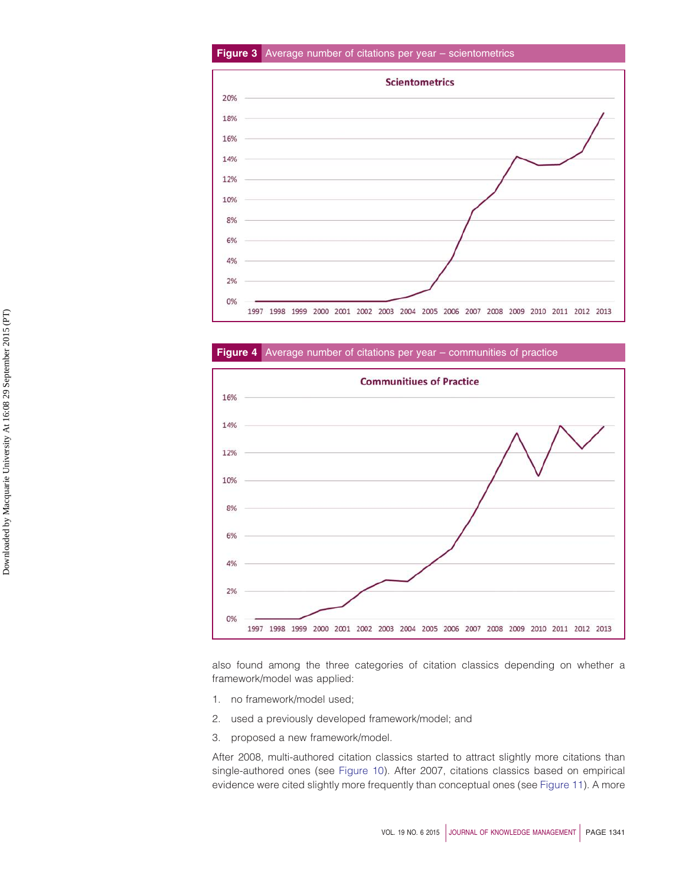# **Figure 3** Average number of citations per year – scientometrics

<span id="page-7-0"></span>

# **Figure 4** Average number of citations per year – communities of practice

<span id="page-7-1"></span>

also found among the three categories of citation classics depending on whether a framework/model was applied:

- 1. no framework/model used;
- 2. used a previously developed framework/model; and
- 3. proposed a new framework/model.

After 2008, multi-authored citation classics started to attract slightly more citations than single-authored ones (see [Figure 10\)](#page-10-1). After 2007, citations classics based on empirical evidence were cited slightly more frequently than conceptual ones (see [Figure 11\)](#page-11-0). A more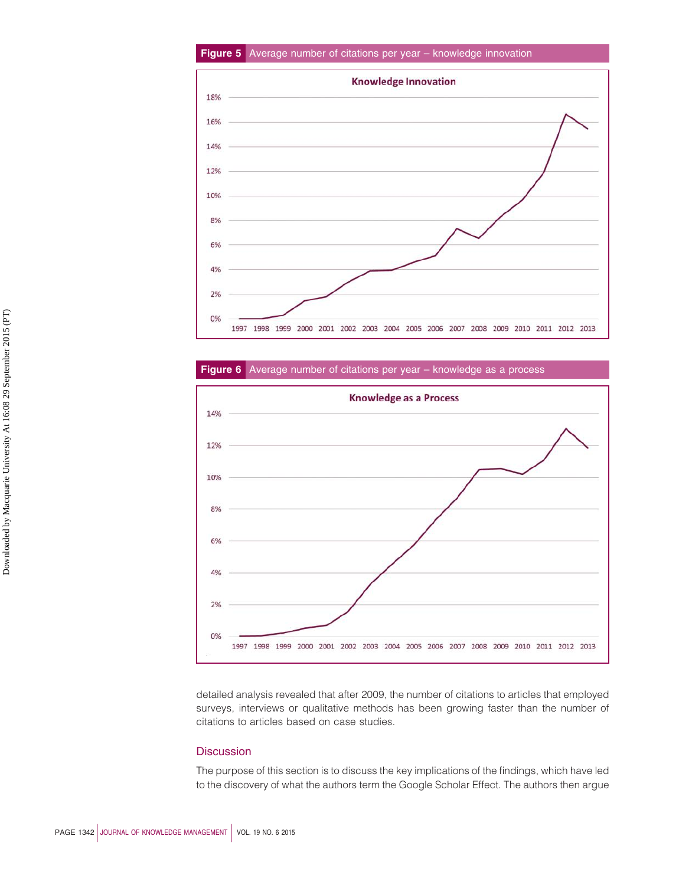## **Figure 5** Average number of citations per year – knowledge innovation

<span id="page-8-0"></span>

**Figure 6** Average number of citations per year – knowledge as a process

<span id="page-8-1"></span>

detailed analysis revealed that after 2009, the number of citations to articles that employed surveys, interviews or qualitative methods has been growing faster than the number of citations to articles based on case studies.

# **Discussion**

The purpose of this section is to discuss the key implications of the findings, which have led to the discovery of what the authors term the Google Scholar Effect. The authors then argue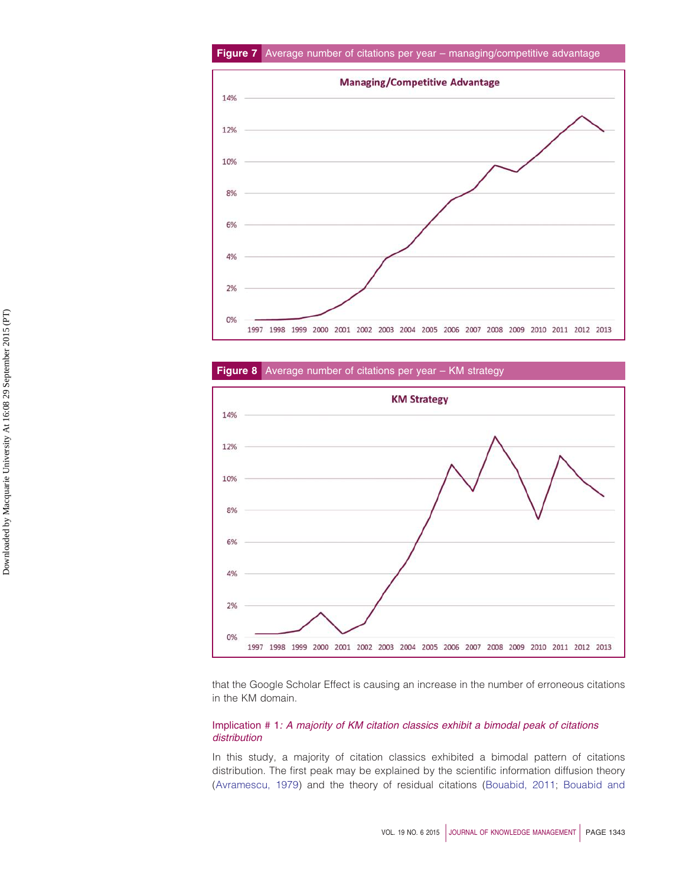<span id="page-9-0"></span>

# **Figure 8** Average number of citations per year – KM strategy

<span id="page-9-1"></span>

that the Google Scholar Effect is causing an increase in the number of erroneous citations in the KM domain.

## Implication # 1*: A majority of KM citation classics exhibit a bimodal peak of citations distribution*

In this study, a majority of citation classics exhibited a bimodal pattern of citations distribution. The first peak may be explained by the scientific information diffusion theory [\(Avramescu, 1979\)](#page-17-7) and the theory of residual citations [\(Bouabid, 2011;](#page-17-8) [Bouabid and](#page-17-2)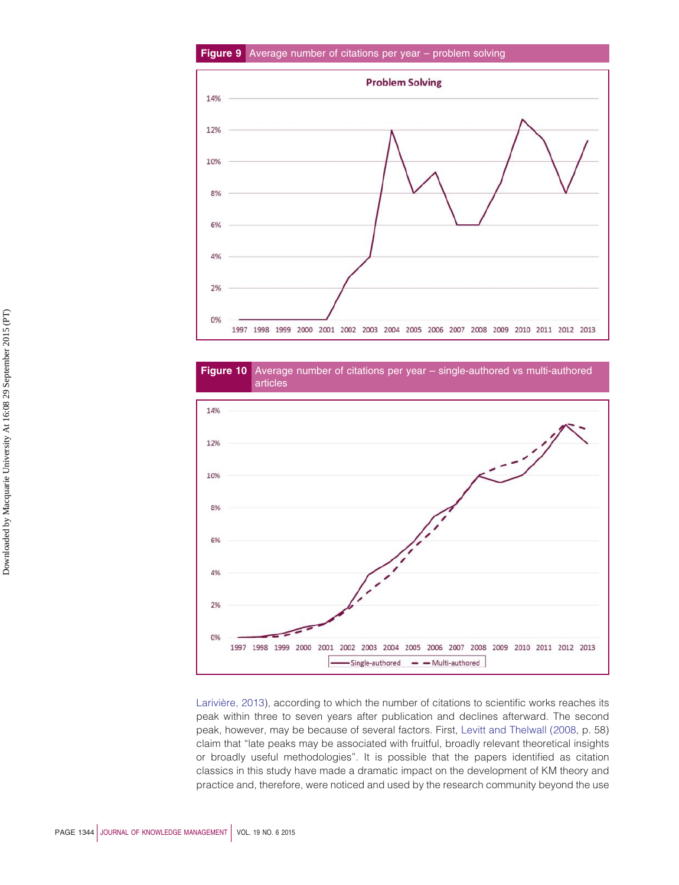## **Figure 9** Average number of citations per year – problem solving

<span id="page-10-0"></span>

<span id="page-10-1"></span>



[Larivière, 2013\)](#page-17-2), according to which the number of citations to scientific works reaches its peak within three to seven years after publication and declines afterward. The second peak, however, may be because of several factors. First, [Levitt and Thelwall \(2008,](#page-19-6) p. 58) claim that "late peaks may be associated with fruitful, broadly relevant theoretical insights or broadly useful methodologies". It is possible that the papers identified as citation classics in this study have made a dramatic impact on the development of KM theory and practice and, therefore, were noticed and used by the research community beyond the use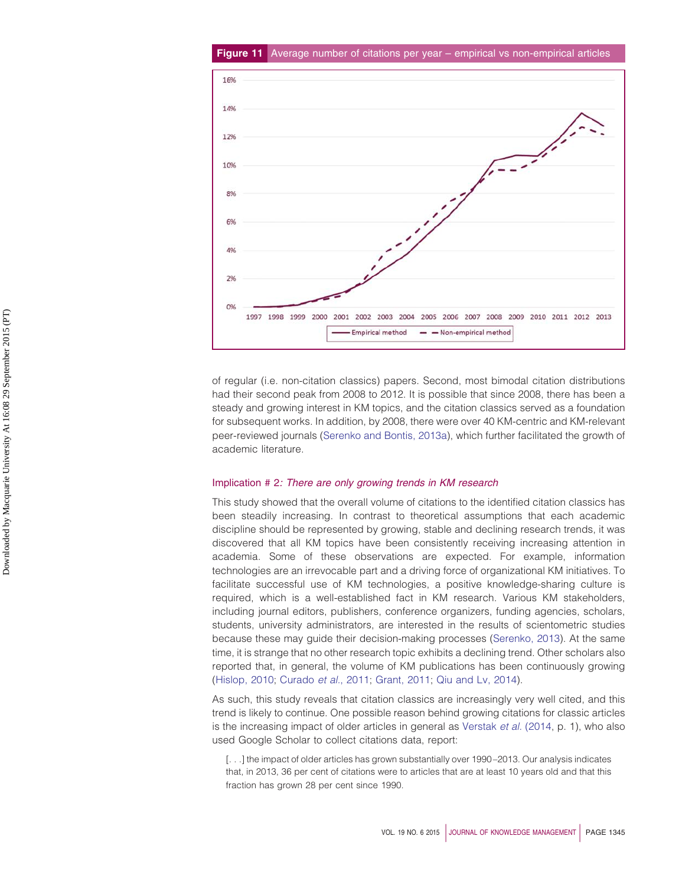<span id="page-11-0"></span>

of regular (i.e. non-citation classics) papers. Second, most bimodal citation distributions had their second peak from 2008 to 2012. It is possible that since 2008, there has been a steady and growing interest in KM topics, and the citation classics served as a foundation for subsequent works. In addition, by 2008, there were over 40 KM-centric and KM-relevant peer-reviewed journals [\(Serenko and Bontis, 2013a\)](#page-20-11), which further facilitated the growth of academic literature.

#### Implication # 2*: There are only growing trends in KM research*

This study showed that the overall volume of citations to the identified citation classics has been steadily increasing. In contrast to theoretical assumptions that each academic discipline should be represented by growing, stable and declining research trends, it was discovered that all KM topics have been consistently receiving increasing attention in academia. Some of these observations are expected. For example, information technologies are an irrevocable part and a driving force of organizational KM initiatives. To facilitate successful use of KM technologies, a positive knowledge-sharing culture is required, which is a well-established fact in KM research. Various KM stakeholders, including journal editors, publishers, conference organizers, funding agencies, scholars, students, university administrators, are interested in the results of scientometric studies because these may guide their decision-making processes [\(Serenko, 2013\)](#page-20-15). At the same time, it is strange that no other research topic exhibits a declining trend. Other scholars also reported that, in general, the volume of KM publications has been continuously growing [\(Hislop, 2010;](#page-19-12) [Curado](#page-18-18) *et al.*, 2011; [Grant, 2011;](#page-18-19) [Qiu and Lv, 2014\)](#page-20-16).

As such, this study reveals that citation classics are increasingly very well cited, and this trend is likely to continue. One possible reason behind growing citations for classic articles is the increasing impact of older articles in general as [Verstak](#page-20-17) *et al.* (2014, p. 1), who also used Google Scholar to collect citations data, report:

[. . .] the impact of older articles has grown substantially over 1990-2013. Our analysis indicates that, in 2013, 36 per cent of citations were to articles that are at least 10 years old and that this fraction has grown 28 per cent since 1990.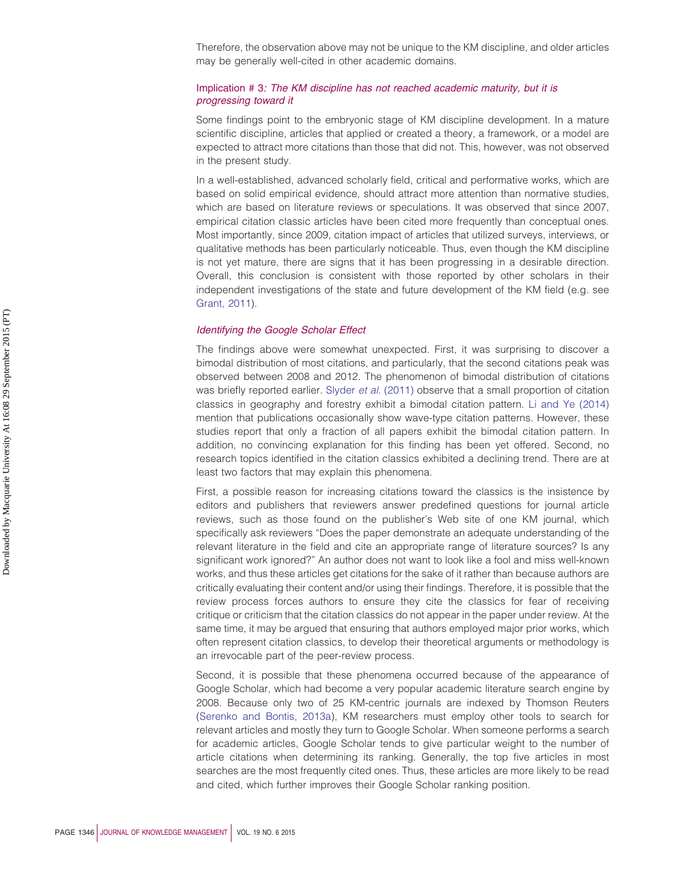Therefore, the observation above may not be unique to the KM discipline, and older articles may be generally well-cited in other academic domains.

# Implication # 3*: The KM discipline has not reached academic maturity, but it is progressing toward it*

Some findings point to the embryonic stage of KM discipline development. In a mature scientific discipline, articles that applied or created a theory, a framework, or a model are expected to attract more citations than those that did not. This, however, was not observed in the present study.

In a well-established, advanced scholarly field, critical and performative works, which are based on solid empirical evidence, should attract more attention than normative studies, which are based on literature reviews or speculations. It was observed that since 2007, empirical citation classic articles have been cited more frequently than conceptual ones. Most importantly, since 2009, citation impact of articles that utilized surveys, interviews, or qualitative methods has been particularly noticeable. Thus, even though the KM discipline is not yet mature, there are signs that it has been progressing in a desirable direction. Overall, this conclusion is consistent with those reported by other scholars in their independent investigations of the state and future development of the KM field (e.g. see [Grant, 2011\)](#page-18-19).

### *Identifying the Google Scholar Effect*

The findings above were somewhat unexpected. First, it was surprising to discover a bimodal distribution of most citations, and particularly, that the second citations peak was observed between 2008 and 2012. The phenomenon of bimodal distribution of citations was briefly reported earlier. Slyder *et al.* [\(2011\)](#page-20-18) observe that a small proportion of citation classics in geography and forestry exhibit a bimodal citation pattern. [Li and Ye \(2014\)](#page-19-13) mention that publications occasionally show wave-type citation patterns. However, these studies report that only a fraction of all papers exhibit the bimodal citation pattern. In addition, no convincing explanation for this finding has been yet offered. Second, no research topics identified in the citation classics exhibited a declining trend. There are at least two factors that may explain this phenomena.

First, a possible reason for increasing citations toward the classics is the insistence by editors and publishers that reviewers answer predefined questions for journal article reviews, such as those found on the publisher's Web site of one KM journal, which specifically ask reviewers "Does the paper demonstrate an adequate understanding of the relevant literature in the field and cite an appropriate range of literature sources? Is any significant work ignored?" An author does not want to look like a fool and miss well-known works, and thus these articles get citations for the sake of it rather than because authors are critically evaluating their content and/or using their findings. Therefore, it is possible that the review process forces authors to ensure they cite the classics for fear of receiving critique or criticism that the citation classics do not appear in the paper under review. At the same time, it may be argued that ensuring that authors employed major prior works, which often represent citation classics, to develop their theoretical arguments or methodology is an irrevocable part of the peer-review process.

Second, it is possible that these phenomena occurred because of the appearance of Google Scholar, which had become a very popular academic literature search engine by 2008. Because only two of 25 KM-centric journals are indexed by Thomson Reuters [\(Serenko and Bontis, 2013a\)](#page-20-11), KM researchers must employ other tools to search for relevant articles and mostly they turn to Google Scholar. When someone performs a search for academic articles, Google Scholar tends to give particular weight to the number of article citations when determining its ranking. Generally, the top five articles in most searches are the most frequently cited ones. Thus, these articles are more likely to be read and cited, which further improves their Google Scholar ranking position.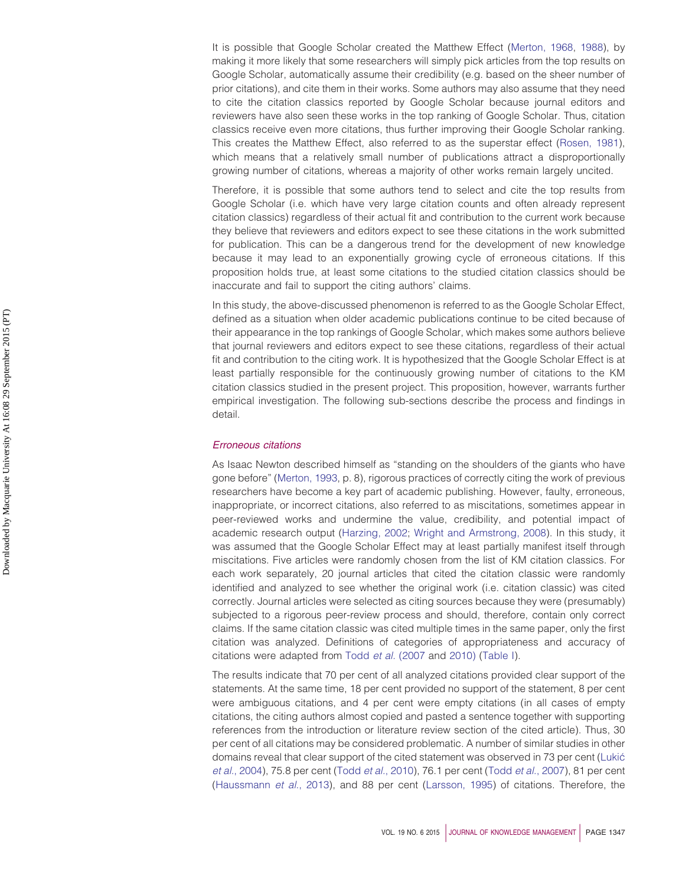It is possible that Google Scholar created the Matthew Effect [\(Merton, 1968,](#page-19-14) [1988\)](#page-19-15), by making it more likely that some researchers will simply pick articles from the top results on Google Scholar, automatically assume their credibility (e.g. based on the sheer number of prior citations), and cite them in their works. Some authors may also assume that they need to cite the citation classics reported by Google Scholar because journal editors and reviewers have also seen these works in the top ranking of Google Scholar. Thus, citation classics receive even more citations, thus further improving their Google Scholar ranking. This creates the Matthew Effect, also referred to as the superstar effect [\(Rosen, 1981\)](#page-20-19), which means that a relatively small number of publications attract a disproportionally growing number of citations, whereas a majority of other works remain largely uncited.

Therefore, it is possible that some authors tend to select and cite the top results from Google Scholar (i.e. which have very large citation counts and often already represent citation classics) regardless of their actual fit and contribution to the current work because they believe that reviewers and editors expect to see these citations in the work submitted for publication. This can be a dangerous trend for the development of new knowledge because it may lead to an exponentially growing cycle of erroneous citations. If this proposition holds true, at least some citations to the studied citation classics should be inaccurate and fail to support the citing authors' claims.

In this study, the above-discussed phenomenon is referred to as the Google Scholar Effect, defined as a situation when older academic publications continue to be cited because of their appearance in the top rankings of Google Scholar, which makes some authors believe that journal reviewers and editors expect to see these citations, regardless of their actual fit and contribution to the citing work. It is hypothesized that the Google Scholar Effect is at least partially responsible for the continuously growing number of citations to the KM citation classics studied in the present project. This proposition, however, warrants further empirical investigation. The following sub-sections describe the process and findings in detail.

#### *Erroneous citations*

As Isaac Newton described himself as "standing on the shoulders of the giants who have gone before" [\(Merton, 1993,](#page-19-16) p. 8), rigorous practices of correctly citing the work of previous researchers have become a key part of academic publishing. However, faulty, erroneous, inappropriate, or incorrect citations, also referred to as miscitations, sometimes appear in peer-reviewed works and undermine the value, credibility, and potential impact of academic research output [\(Harzing, 2002;](#page-19-17) [Wright and Armstrong, 2008\)](#page-21-3). In this study, it was assumed that the Google Scholar Effect may at least partially manifest itself through miscitations. Five articles were randomly chosen from the list of KM citation classics. For each work separately, 20 journal articles that cited the citation classic were randomly identified and analyzed to see whether the original work (i.e. citation classic) was cited correctly. Journal articles were selected as citing sources because they were (presumably) subjected to a rigorous peer-review process and should, therefore, contain only correct claims. If the same citation classic was cited multiple times in the same paper, only the first citation was analyzed. Definitions of categories of appropriateness and accuracy of citations were adapted from Todd *et al.* [\(2007](#page-20-12) and [2010\)](#page-20-13) [\(Table I\)](#page-4-0).

The results indicate that 70 per cent of all analyzed citations provided clear support of the statements. At the same time, 18 per cent provided no support of the statement, 8 per cent were ambiguous citations, and 4 per cent were empty citations (in all cases of empty citations, the citing authors almost copied and pasted a sentence together with supporting references from the introduction or literature review section of the cited article). Thus, 30 per cent of all citations may be considered problematic. A number of similar studies in other domains reveal that clear support of the cited statement was observed in 73 per cent [\(Lukic´](#page-19-18) *et al.*[, 2004\)](#page-19-18), 75.8 per cent (Todd *et al.*[, 2010\)](#page-20-13), 76.1 per cent (Todd *et al.*[, 2007\)](#page-20-12), 81 per cent [\(Haussmann](#page-19-19) *et al.*, 2013), and 88 per cent [\(Larsson, 1995\)](#page-19-20) of citations. Therefore, the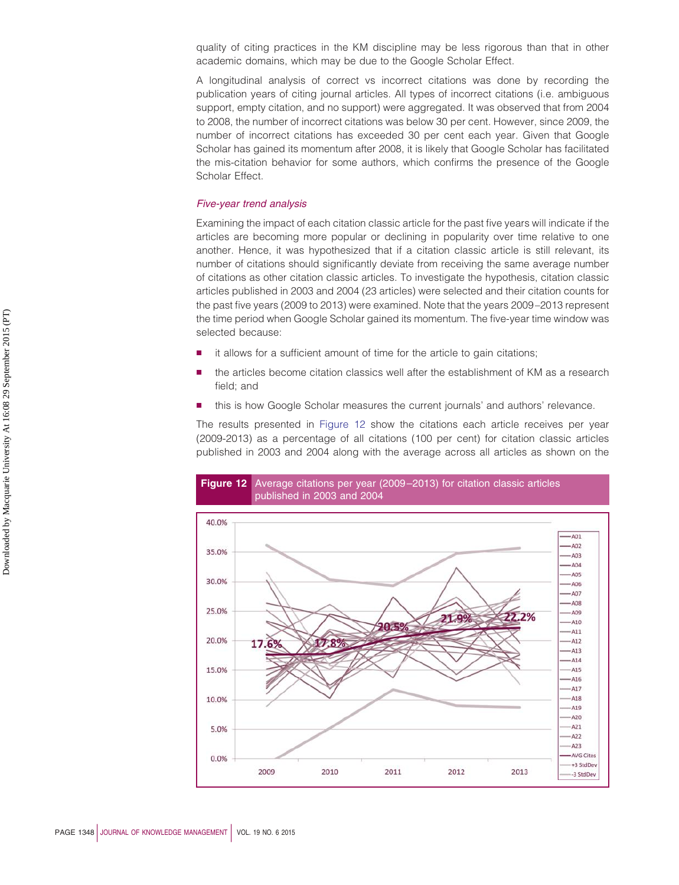quality of citing practices in the KM discipline may be less rigorous than that in other academic domains, which may be due to the Google Scholar Effect.

A longitudinal analysis of correct vs incorrect citations was done by recording the publication years of citing journal articles. All types of incorrect citations (i.e. ambiguous support, empty citation, and no support) were aggregated. It was observed that from 2004 to 2008, the number of incorrect citations was below 30 per cent. However, since 2009, the number of incorrect citations has exceeded 30 per cent each year. Given that Google Scholar has gained its momentum after 2008, it is likely that Google Scholar has facilitated the mis-citation behavior for some authors, which confirms the presence of the Google Scholar Effect.

#### *Five-year trend analysis*

Examining the impact of each citation classic article for the past five years will indicate if the articles are becoming more popular or declining in popularity over time relative to one another. Hence, it was hypothesized that if a citation classic article is still relevant, its number of citations should significantly deviate from receiving the same average number of citations as other citation classic articles. To investigate the hypothesis, citation classic articles published in 2003 and 2004 (23 articles) were selected and their citation counts for the past five years (2009 to 2013) were examined. Note that the years 2009–2013 represent the time period when Google Scholar gained its momentum. The five-year time window was selected because:

- it allows for a sufficient amount of time for the article to gain citations;
- the articles become citation classics well after the establishment of KM as a research field; and
- this is how Google Scholar measures the current journals' and authors' relevance.

The results presented in [Figure 12](#page-14-0) show the citations each article receives per year (2009-2013) as a percentage of all citations (100 per cent) for citation classic articles published in 2003 and 2004 along with the average across all articles as shown on the

<span id="page-14-0"></span>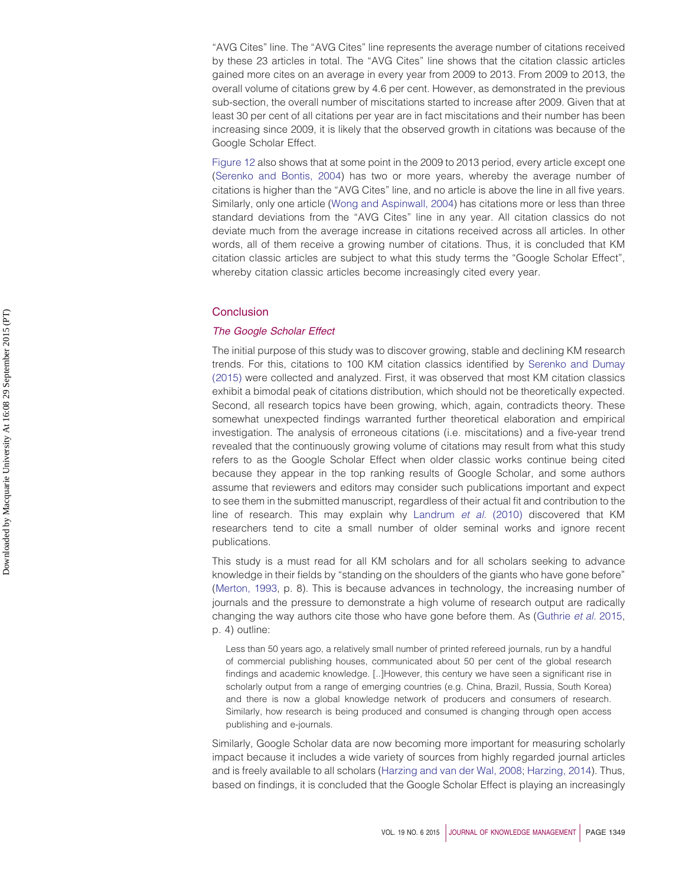"AVG Cites" line. The "AVG Cites" line represents the average number of citations received by these 23 articles in total. The "AVG Cites" line shows that the citation classic articles gained more cites on an average in every year from 2009 to 2013. From 2009 to 2013, the overall volume of citations grew by 4.6 per cent. However, as demonstrated in the previous sub-section, the overall number of miscitations started to increase after 2009. Given that at least 30 per cent of all citations per year are in fact miscitations and their number has been increasing since 2009, it is likely that the observed growth in citations was because of the Google Scholar Effect.

[Figure 12](#page-14-0) also shows that at some point in the 2009 to 2013 period, every article except one [\(Serenko and Bontis, 2004\)](#page-20-20) has two or more years, whereby the average number of citations is higher than the "AVG Cites" line, and no article is above the line in all five years. Similarly, only one article [\(Wong and Aspinwall, 2004\)](#page-21-4) has citations more or less than three standard deviations from the "AVG Cites" line in any year. All citation classics do not deviate much from the average increase in citations received across all articles. In other words, all of them receive a growing number of citations. Thus, it is concluded that KM citation classic articles are subject to what this study terms the "Google Scholar Effect", whereby citation classic articles become increasingly cited every year.

#### **Conclusion**

## *The Google Scholar Effect*

The initial purpose of this study was to discover growing, stable and declining KM research trends. For this, citations to 100 KM citation classics identified by [Serenko and Dumay](#page-20-0) [\(2015\)](#page-20-0) were collected and analyzed. First, it was observed that most KM citation classics exhibit a bimodal peak of citations distribution, which should not be theoretically expected. Second, all research topics have been growing, which, again, contradicts theory. These somewhat unexpected findings warranted further theoretical elaboration and empirical investigation. The analysis of erroneous citations (i.e. miscitations) and a five-year trend revealed that the continuously growing volume of citations may result from what this study refers to as the Google Scholar Effect when older classic works continue being cited because they appear in the top ranking results of Google Scholar, and some authors assume that reviewers and editors may consider such publications important and expect to see them in the submitted manuscript, regardless of their actual fit and contribution to the line of research. This may explain why [Landrum](#page-19-4) *et al.* (2010) discovered that KM researchers tend to cite a small number of older seminal works and ignore recent publications.

This study is a must read for all KM scholars and for all scholars seeking to advance knowledge in their fields by "standing on the shoulders of the giants who have gone before" [\(Merton, 1993,](#page-19-16) p. 8). This is because advances in technology, the increasing number of journals and the pressure to demonstrate a high volume of research output are radically changing the way authors cite those who have gone before them. As [\(Guthrie](#page-18-20) *et al.* 2015, p. 4) outline:

Less than 50 years ago, a relatively small number of printed refereed journals, run by a handful of commercial publishing houses, communicated about 50 per cent of the global research findings and academic knowledge. [..]However, this century we have seen a significant rise in scholarly output from a range of emerging countries (e.g. China, Brazil, Russia, South Korea) and there is now a global knowledge network of producers and consumers of research. Similarly, how research is being produced and consumed is changing through open access publishing and e-journals.

Similarly, Google Scholar data are now becoming more important for measuring scholarly impact because it includes a wide variety of sources from highly regarded journal articles and is freely available to all scholars [\(Harzing and van der Wal, 2008;](#page-19-21) [Harzing, 2014\)](#page-19-22). Thus, based on findings, it is concluded that the Google Scholar Effect is playing an increasingly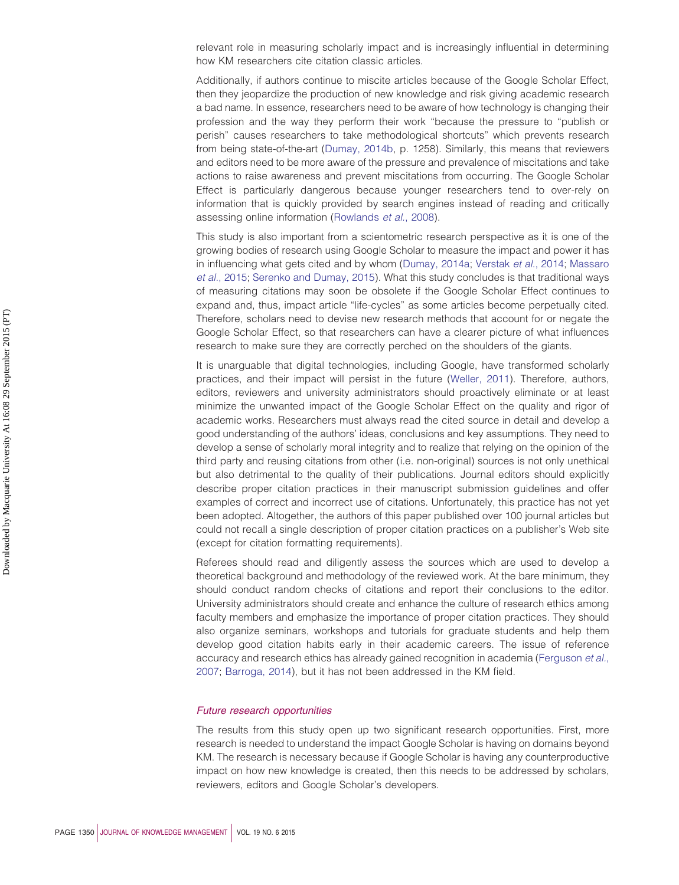relevant role in measuring scholarly impact and is increasingly influential in determining how KM researchers cite citation classic articles.

Additionally, if authors continue to miscite articles because of the Google Scholar Effect, then they jeopardize the production of new knowledge and risk giving academic research a bad name. In essence, researchers need to be aware of how technology is changing their profession and the way they perform their work "because the pressure to "publish or perish" causes researchers to take methodological shortcuts" which prevents research from being state-of-the-art [\(Dumay, 2014b,](#page-18-21) p. 1258). Similarly, this means that reviewers and editors need to be more aware of the pressure and prevalence of miscitations and take actions to raise awareness and prevent miscitations from occurring. The Google Scholar Effect is particularly dangerous because younger researchers tend to over-rely on information that is quickly provided by search engines instead of reading and critically assessing online information [\(Rowlands](#page-20-21) *et al.*, 2008).

This study is also important from a scientometric research perspective as it is one of the growing bodies of research using Google Scholar to measure the impact and power it has in influencing what gets cited and by whom [\(Dumay, 2014a;](#page-18-0) [Verstak](#page-20-17) *et al.*, 2014; [Massaro](#page-19-23) *et al.*[, 2015;](#page-19-23) [Serenko and Dumay, 2015\)](#page-20-0). What this study concludes is that traditional ways of measuring citations may soon be obsolete if the Google Scholar Effect continues to expand and, thus, impact article "life-cycles" as some articles become perpetually cited. Therefore, scholars need to devise new research methods that account for or negate the Google Scholar Effect, so that researchers can have a clearer picture of what influences research to make sure they are correctly perched on the shoulders of the giants.

It is unarguable that digital technologies, including Google, have transformed scholarly practices, and their impact will persist in the future [\(Weller, 2011\)](#page-21-5). Therefore, authors, editors, reviewers and university administrators should proactively eliminate or at least minimize the unwanted impact of the Google Scholar Effect on the quality and rigor of academic works. Researchers must always read the cited source in detail and develop a good understanding of the authors' ideas, conclusions and key assumptions. They need to develop a sense of scholarly moral integrity and to realize that relying on the opinion of the third party and reusing citations from other (i.e. non-original) sources is not only unethical but also detrimental to the quality of their publications. Journal editors should explicitly describe proper citation practices in their manuscript submission guidelines and offer examples of correct and incorrect use of citations. Unfortunately, this practice has not yet been adopted. Altogether, the authors of this paper published over 100 journal articles but could not recall a single description of proper citation practices on a publisher's Web site (except for citation formatting requirements).

Referees should read and diligently assess the sources which are used to develop a theoretical background and methodology of the reviewed work. At the bare minimum, they should conduct random checks of citations and report their conclusions to the editor. University administrators should create and enhance the culture of research ethics among faculty members and emphasize the importance of proper citation practices. They should also organize seminars, workshops and tutorials for graduate students and help them develop good citation habits early in their academic careers. The issue of reference accuracy and research ethics has already gained recognition in academia [\(Ferguson](#page-18-22) *et al.*, [2007;](#page-18-22) [Barroga, 2014\)](#page-17-10), but it has not been addressed in the KM field.

#### *Future research opportunities*

The results from this study open up two significant research opportunities. First, more research is needed to understand the impact Google Scholar is having on domains beyond KM. The research is necessary because if Google Scholar is having any counterproductive impact on how new knowledge is created, then this needs to be addressed by scholars, reviewers, editors and Google Scholar's developers.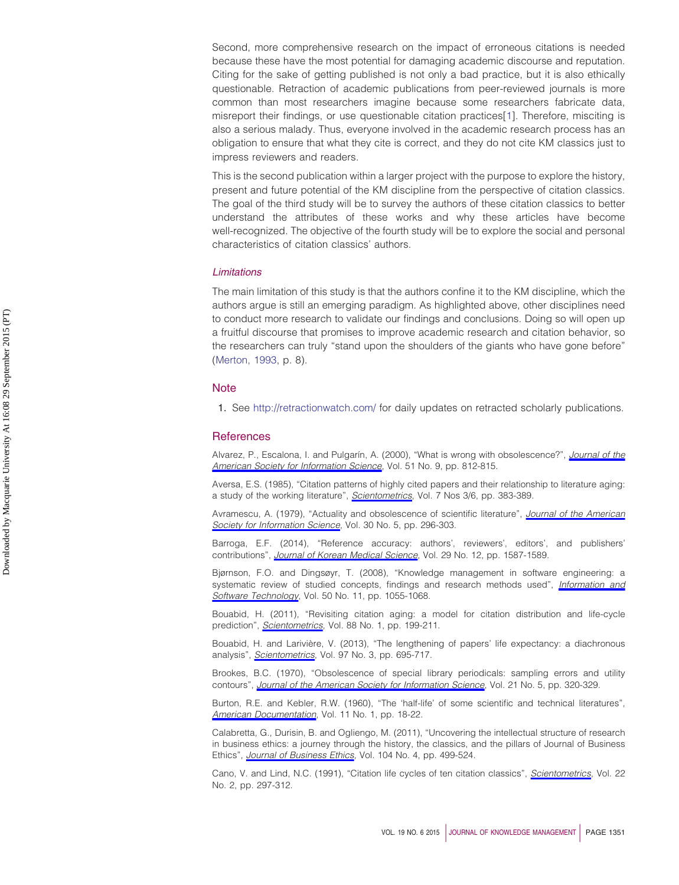Second, more comprehensive research on the impact of erroneous citations is needed because these have the most potential for damaging academic discourse and reputation. Citing for the sake of getting published is not only a bad practice, but it is also ethically questionable. Retraction of academic publications from peer-reviewed journals is more common than most researchers imagine because some researchers fabricate data, misreport their findings, or use questionable citation practices[\[1\]](#page-17-11). Therefore, misciting is also a serious malady. Thus, everyone involved in the academic research process has an obligation to ensure that what they cite is correct, and they do not cite KM classics just to impress reviewers and readers.

This is the second publication within a larger project with the purpose to explore the history, present and future potential of the KM discipline from the perspective of citation classics. The goal of the third study will be to survey the authors of these citation classics to better understand the attributes of these works and why these articles have become well-recognized. The objective of the fourth study will be to explore the social and personal characteristics of citation classics' authors.

#### *Limitations*

The main limitation of this study is that the authors confine it to the KM discipline, which the authors argue is still an emerging paradigm. As highlighted above, other disciplines need to conduct more research to validate our findings and conclusions. Doing so will open up a fruitful discourse that promises to improve academic research and citation behavior, so the researchers can truly "stand upon the shoulders of the giants who have gone before" [\(Merton, 1993,](#page-19-16) p. 8).

#### **Note**

<span id="page-17-11"></span>1. See <http://retractionwatch.com/> for daily updates on retracted scholarly publications.

#### **References**

<span id="page-17-5"></span>Alvarez, P., Escalona, I. and Pulgarín, A. (2000), "What is wrong with obsolescence?", *[Journal of the](http://www.emeraldinsight.com/action/showLinks?crossref=10.1002%2F%28SICI%291097-4571%282000%2951%3A9%3C812%3A%3AAID-ASI40%3E3.0.CO%3B2-B&isi=000087652000004) [American Society for Information Science](http://www.emeraldinsight.com/action/showLinks?crossref=10.1002%2F%28SICI%291097-4571%282000%2951%3A9%3C812%3A%3AAID-ASI40%3E3.0.CO%3B2-B&isi=000087652000004)*, Vol. 51 No. 9, pp. 812-815.

<span id="page-17-9"></span>Aversa, E.S. (1985), "Citation patterns of highly cited papers and their relationship to literature aging: a study of the working literature", *[Scientometrics](http://www.emeraldinsight.com/action/showLinks?crossref=10.1007%2FBF02017156&isi=A1985AHA3800017)*, Vol. 7 Nos 3/6, pp. 383-389.

<span id="page-17-7"></span>Avramescu, A. (1979), "Actuality and obsolescence of scientific literature", *[Journal of the American](http://www.emeraldinsight.com/action/showLinks?crossref=10.1002%2Fasi.4630300509&isi=A1979HJ01200008) [Society for Information Science](http://www.emeraldinsight.com/action/showLinks?crossref=10.1002%2Fasi.4630300509&isi=A1979HJ01200008)*, Vol. 30 No. 5, pp. 296-303.

<span id="page-17-10"></span>Barroga, E.F. (2014), "Reference accuracy: authors', reviewers', editors', and publishers' contributions", *[Journal of Korean Medical Science](http://www.emeraldinsight.com/action/showLinks?crossref=10.3346%2Fjkms.2014.29.12.1587&isi=000346507200001)*, Vol. 29 No. 12, pp. 1587-1589.

<span id="page-17-0"></span>Bjørnson, F.O. and Dingsøyr, T. (2008), "Knowledge management in software engineering: a systematic review of studied concepts, findings and research methods used", *[Information and](http://www.emeraldinsight.com/action/showLinks?crossref=10.1016%2Fj.infsof.2008.03.006&isi=000259709200001) [Software Technology](http://www.emeraldinsight.com/action/showLinks?crossref=10.1016%2Fj.infsof.2008.03.006&isi=000259709200001)*, Vol. 50 No. 11, pp. 1055-1068.

<span id="page-17-8"></span>Bouabid, H. (2011), "Revisiting citation aging: a model for citation distribution and life-cycle prediction", *[Scientometrics](http://www.emeraldinsight.com/action/showLinks?crossref=10.1007%2Fs11192-011-0370-5&isi=000292210200013)*, Vol. 88 No. 1, pp. 199-211.

<span id="page-17-2"></span>Bouabid, H. and Larivière, V. (2013), "The lengthening of papers' life expectancy: a diachronous analysis", *[Scientometrics](http://www.emeraldinsight.com/action/showLinks?crossref=10.1007%2Fs11192-013-0995-7&isi=000327219900011)*, Vol. 97 No. 3, pp. 695-717.

<span id="page-17-4"></span>Brookes, B.C. (1970), "Obsolescence of special library periodicals: sampling errors and utility contours", *[Journal of the American Society for Information Science](http://www.emeraldinsight.com/action/showLinks?crossref=10.1002%2Fasi.4630210503&isi=000206481100002)*, Vol. 21 No. 5, pp. 320-329.

<span id="page-17-3"></span>Burton, R.E. and Kebler, R.W. (1960), "The 'half-life' of some scientific and technical literatures", *[American Documentation](http://www.emeraldinsight.com/action/showLinks?crossref=10.1002%2Fasi.5090110105)*, Vol. 11 No. 1, pp. 18-22.

<span id="page-17-6"></span>Calabretta, G., Durisin, B. and Ogliengo, M. (2011), "Uncovering the intellectual structure of research in business ethics: a journey through the history, the classics, and the pillars of Journal of Business Ethics", *[Journal of Business Ethics](http://www.emeraldinsight.com/action/showLinks?crossref=10.1007%2Fs10551-011-0924-8&isi=000297620200005)*, Vol. 104 No. 4, pp. 499-524.

<span id="page-17-1"></span>Cano, V. and Lind, N.C. (1991), "Citation life cycles of ten citation classics", *[Scientometrics](http://www.emeraldinsight.com/action/showLinks?crossref=10.1007%2FBF02020003&isi=A1991GF44700004)*, Vol. 22 No. 2, pp. 297-312.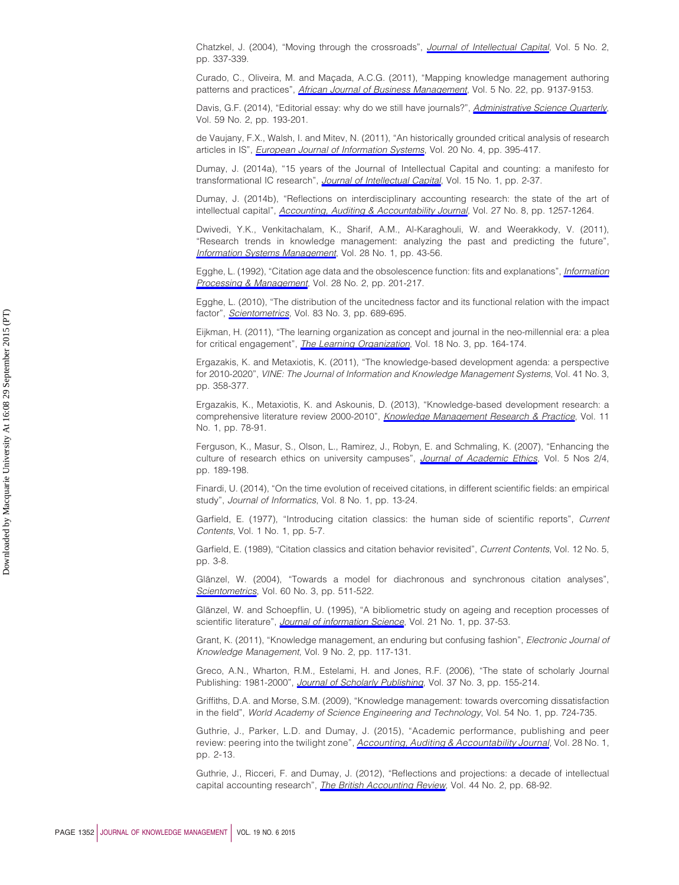<span id="page-18-2"></span>Chatzkel, J. (2004), "Moving through the crossroads", *[Journal of Intellectual Capital](http://www.emeraldinsight.com/action/showLinks?system=10.1108%2F14691930410533740)*, Vol. 5 No. 2, pp. 337-339.

<span id="page-18-18"></span>Curado, C., Oliveira, M. and Maçada, A.C.G. (2011), "Mapping knowledge management authoring patterns and practices", *[African Journal of Business Management](http://www.emeraldinsight.com/action/showLinks?isi=000297654600041)*, Vol. 5 No. 22, pp. 9137-9153.

<span id="page-18-10"></span>Davis, G.F. (2014), "Editorial essay: why do we still have journals?", *[Administrative Science Quarterly](http://www.emeraldinsight.com/action/showLinks?crossref=10.1177%2F0001839214534186&isi=000337572600001)*, Vol. 59 No. 2, pp. 193-201.

<span id="page-18-9"></span>de Vaujany, F.X., Walsh, I. and Mitev, N. (2011), "An historically grounded critical analysis of research articles in IS", *[European Journal of Information Systems](http://www.emeraldinsight.com/action/showLinks?crossref=10.1057%2Fejis.2011.13&isi=000292083700003)*, Vol. 20 No. 4, pp. 395-417.

<span id="page-18-0"></span>Dumay, J. (2014a), "15 years of the Journal of Intellectual Capital and counting: a manifesto for transformational IC research", *[Journal of Intellectual Capital](http://www.emeraldinsight.com/action/showLinks?system=10.1108%2FJIC-09-2013-0098)*, Vol. 15 No. 1, pp. 2-37.

<span id="page-18-21"></span>Dumay, J. (2014b), "Reflections on interdisciplinary accounting research: the state of the art of intellectual capital", *[Accounting, Auditing & Accountability Journal](http://www.emeraldinsight.com/action/showLinks?system=10.1108%2FAAAJ-05-2014-1714)*, Vol. 27 No. 8, pp. 1257-1264.

<span id="page-18-4"></span>Dwivedi, Y.K., Venkitachalam, K., Sharif, A.M., Al-Karaghouli, W. and Weerakkody, V. (2011), "Research trends in knowledge management: analyzing the past and predicting the future", *[Information Systems Management](http://www.emeraldinsight.com/action/showLinks?crossref=10.1080%2F10580530.2011.536112&isi=000286826600006)*, Vol. 28 No. 1, pp. 43-56.

<span id="page-18-14"></span>Egghe, L. (1992), "Citation age data and the obsolescence function: fits and explanations", *[Information](http://www.emeraldinsight.com/action/showLinks?crossref=10.1016%2F0306-4573%2892%2990046-3&isi=A1992HJ49000004) [Processing & Management](http://www.emeraldinsight.com/action/showLinks?crossref=10.1016%2F0306-4573%2892%2990046-3&isi=A1992HJ49000004)*, Vol. 28 No. 2, pp. 201-217.

<span id="page-18-15"></span>Egghe, L. (2010), "The distribution of the uncitedness factor and its functional relation with the impact factor", *[Scientometrics](http://www.emeraldinsight.com/action/showLinks?crossref=10.1007%2Fs11192-009-0130-y&isi=000277418400007)*, Vol. 83 No. 3, pp. 689-695.

<span id="page-18-5"></span>Eijkman, H. (2011), "The learning organization as concept and journal in the neo-millennial era: a plea for critical engagement", *[The Learning Organization](http://www.emeraldinsight.com/action/showLinks?system=10.1108%2F09696471111123234)*, Vol. 18 No. 3, pp. 164-174.

<span id="page-18-6"></span>Ergazakis, K. and Metaxiotis, K. (2011), "The knowledge-based development agenda: a perspective for 2010-2020", *VINE: The Journal of Information and Knowledge Management Systems*, Vol. 41 No. 3, pp. 358-377.

<span id="page-18-7"></span>Ergazakis, K., Metaxiotis, K. and Askounis, D. (2013), "Knowledge-based development research: a comprehensive literature review 2000-2010", *[Knowledge Management Research & Practice](http://www.emeraldinsight.com/action/showLinks?crossref=10.1057%2Fkmrp.2012.11)*, Vol. 11 No. 1, pp. 78-91.

<span id="page-18-22"></span>Ferguson, K., Masur, S., Olson, L., Ramirez, J., Robyn, E. and Schmaling, K. (2007), "Enhancing the culture of research ethics on university campuses", *[Journal of Academic Ethics](http://www.emeraldinsight.com/action/showLinks?crossref=10.1007%2Fs10805-007-9033-9)*, Vol. 5 Nos 2/4, pp. 189-198.

<span id="page-18-16"></span>Finardi, U. (2014), "On the time evolution of received citations, in different scientific fields: an empirical study", *Journal of Informatics*, Vol. 8 No. 1, pp. 13-24.

<span id="page-18-11"></span>Garfield, E. (1977), "Introducing citation classics: the human side of scientific reports", *Current Contents*, Vol. 1 No. 1, pp. 5-7.

<span id="page-18-12"></span>Garfield, E. (1989), "Citation classics and citation behavior revisited", *Current Contents*, Vol. 12 No. 5, pp. 3-8.

<span id="page-18-13"></span>Glänzel, W. (2004), "Towards a model for diachronous and synchronous citation analyses", *[Scientometrics](http://www.emeraldinsight.com/action/showLinks?crossref=10.1023%2FB%3ASCIE.0000034391.06240.2a&isi=000222501800020)*, Vol. 60 No. 3, pp. 511-522.

<span id="page-18-17"></span>Glänzel, W. and Schoepflin, U. (1995), "A bibliometric study on ageing and reception processes of scientific literature", *[Journal of information Science](http://www.emeraldinsight.com/action/showLinks?crossref=10.1177%2F016555159502100104&isi=A1995QK78400004)*, Vol. 21 No. 1, pp. 37-53.

<span id="page-18-19"></span>Grant, K. (2011), "Knowledge management, an enduring but confusing fashion", *Electronic Journal of Knowledge Management*, Vol. 9 No. 2, pp. 117-131.

<span id="page-18-8"></span>Greco, A.N., Wharton, R.M., Estelami, H. and Jones, R.F. (2006), "The state of scholarly Journal Publishing: 1981-2000", *[Journal of Scholarly Publishing](http://www.emeraldinsight.com/action/showLinks?crossref=10.3138%2Fjsp.37.3.155&isi=000237330200001)*, Vol. 37 No. 3, pp. 155-214.

<span id="page-18-3"></span>Griffiths, D.A. and Morse, S.M. (2009), "Knowledge management: towards overcoming dissatisfaction in the field", *World Academy of Science Engineering and Technology*, Vol. 54 No. 1, pp. 724-735.

<span id="page-18-20"></span>Guthrie, J., Parker, L.D. and Dumay, J. (2015), "Academic performance, publishing and peer review: peering into the twilight zone", *[Accounting, Auditing & Accountability Journal](http://www.emeraldinsight.com/action/showLinks?system=10.1108%2FAAAJ-11-2014-1871)*, Vol. 28 No. 1, pp. 2-13.

<span id="page-18-1"></span>Guthrie, J., Ricceri, F. and Dumay, J. (2012), "Reflections and projections: a decade of intellectual capital accounting research", *[The British Accounting Review](http://www.emeraldinsight.com/action/showLinks?crossref=10.1016%2Fj.bar.2012.03.004)*, Vol. 44 No. 2, pp. 68-92.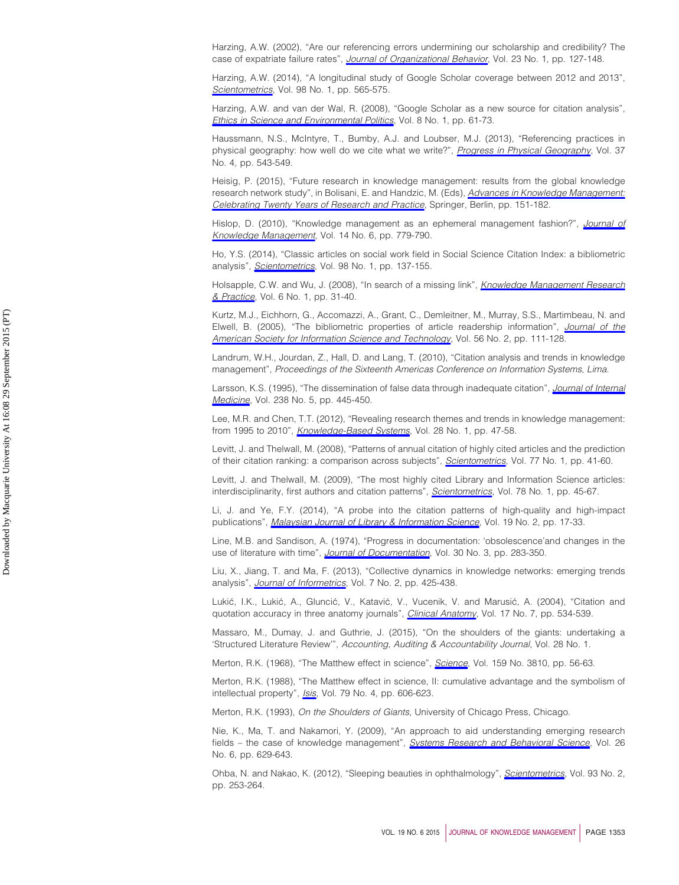<span id="page-19-17"></span>Harzing, A.W. (2002), "Are our referencing errors undermining our scholarship and credibility? The case of expatriate failure rates", *[Journal of Organizational Behavior](http://www.emeraldinsight.com/action/showLinks?crossref=10.1002%2Fjob.125&isi=000173618600008)*, Vol. 23 No. 1, pp. 127-148.

<span id="page-19-22"></span>Harzing, A.W. (2014), "A longitudinal study of Google Scholar coverage between 2012 and 2013", *[Scientometrics](http://www.emeraldinsight.com/action/showLinks?crossref=10.1007%2Fs11192-013-0975-y&isi=000329319200036)*, Vol. 98 No. 1, pp. 565-575.

<span id="page-19-21"></span>Harzing, A.W. and van der Wal, R. (2008), "Google Scholar as a new source for citation analysis", *[Ethics in Science and Environmental Politics](http://www.emeraldinsight.com/action/showLinks?crossref=10.3354%2Fesep00076)*, Vol. 8 No. 1, pp. 61-73.

<span id="page-19-19"></span>Haussmann, N.S., McIntyre, T., Bumby, A.J. and Loubser, M.J. (2013), "Referencing practices in physical geography: how well do we cite what we write?", *[Progress in Physical Geography](http://www.emeraldinsight.com/action/showLinks?crossref=10.1177%2F0309133313482135&isi=000322155100005)*, Vol. 37 No. 4, pp. 543-549.

<span id="page-19-0"></span>Heisig, P. (2015), "Future research in knowledge management: results from the global knowledge research network study", in Bolisani, E. and Handzic, M. (Eds), *[Advances in Knowledge Management:](http://www.emeraldinsight.com/action/showLinks?crossref=10.1007%2F978-3-319-09501-1_7) [Celebrating Twenty Years of Research and Practice](http://www.emeraldinsight.com/action/showLinks?crossref=10.1007%2F978-3-319-09501-1_7)*, Springer, Berlin, pp. 151-182.

<span id="page-19-12"></span>Hislop, D. (2010), "Knowledge management as an ephemeral management fashion?", *[Journal of](http://www.emeraldinsight.com/action/showLinks?system=10.1108%2F13673271011084853) [Knowledge Management](http://www.emeraldinsight.com/action/showLinks?system=10.1108%2F13673271011084853)*, Vol. 14 No. 6, pp. 779-790.

<span id="page-19-11"></span>Ho, Y.S. (2014), "Classic articles on social work field in Social Science Citation Index: a bibliometric analysis", *[Scientometrics](http://www.emeraldinsight.com/action/showLinks?crossref=10.1007%2Fs11192-013-1014-8&isi=000329319200010)*, Vol. 98 No. 1, pp. 137-155.

<span id="page-19-1"></span>Holsapple, C.W. and Wu, J. (2008), "In search of a missing link", *[Knowledge Management Research](http://www.emeraldinsight.com/action/showLinks?crossref=10.1057%2Fpalgrave.kmrp.8500170) [& Practice](http://www.emeraldinsight.com/action/showLinks?crossref=10.1057%2Fpalgrave.kmrp.8500170)*, Vol. 6 No. 1, pp. 31-40.

<span id="page-19-9"></span>Kurtz, M.J., Eichhorn, G., Accomazzi, A., Grant, C., Demleitner, M., Murray, S.S., Martimbeau, N. and Elwell, B. (2005), "The bibliometric properties of article readership information", *[Journal of the](http://www.emeraldinsight.com/action/showLinks?crossref=10.1002%2Fasi.20096&isi=000226508300002) [American Society for Information Science and Technology](http://www.emeraldinsight.com/action/showLinks?crossref=10.1002%2Fasi.20096&isi=000226508300002)*, Vol. 56 No. 2, pp. 111-128.

<span id="page-19-4"></span>Landrum, W.H., Jourdan, Z., Hall, D. and Lang, T. (2010), "Citation analysis and trends in knowledge management", *Proceedings of the Sixteenth Americas Conference on Information Systems*, *Lima*.

<span id="page-19-20"></span>Larsson, K.S. (1995), "The dissemination of false data through inadequate citation", *[Journal of Internal](http://www.emeraldinsight.com/action/showLinks?crossref=10.1111%2Fj.1365-2796.1995.tb01222.x&isi=A1995TE75700008) [Medicine](http://www.emeraldinsight.com/action/showLinks?crossref=10.1111%2Fj.1365-2796.1995.tb01222.x&isi=A1995TE75700008)*, Vol. 238 No. 5, pp. 445-450.

<span id="page-19-3"></span>Lee, M.R. and Chen, T.T. (2012), "Revealing research themes and trends in knowledge management: from 1995 to 2010", *[Knowledge-Based Systems](http://www.emeraldinsight.com/action/showLinks?crossref=10.1016%2Fj.knosys.2011.11.016&isi=000301168700006)*, Vol. 28 No. 1, pp. 47-58.

<span id="page-19-6"></span>Levitt, J. and Thelwall, M. (2008), "Patterns of annual citation of highly cited articles and the prediction of their citation ranking: a comparison across subjects", *[Scientometrics](http://www.emeraldinsight.com/action/showLinks?crossref=10.1007%2Fs11192-007-1946-y&isi=000260003800003)*, Vol. 77 No. 1, pp. 41-60.

<span id="page-19-7"></span>Levitt, J. and Thelwall, M. (2009), "The most highly cited Library and Information Science articles: interdisciplinarity, first authors and citation patterns", *[Scientometrics](http://www.emeraldinsight.com/action/showLinks?crossref=10.1007%2Fs11192-007-1927-1&isi=000261950100005)*, Vol. 78 No. 1, pp. 45-67.

<span id="page-19-13"></span>Li, J. and Ye, F.Y. (2014), "A probe into the citation patterns of high-quality and high-impact publications", *[Malaysian Journal of Library & Information Science](http://www.emeraldinsight.com/action/showLinks?isi=000341233600002)*, Vol. 19 No. 2, pp. 17-33.

<span id="page-19-10"></span>Line, M.B. and Sandison, A. (1974), "Progress in documentation: 'obsolescence'and changes in the use of literature with time", *[Journal of Documentation](http://www.emeraldinsight.com/action/showLinks?system=10.1108%2Feb026583&isi=A1974U494000004)*, Vol. 30 No. 3, pp. 283-350.

<span id="page-19-5"></span>Liu, X., Jiang, T. and Ma, F. (2013), "Collective dynamics in knowledge networks: emerging trends analysis", *[Journal of Informetrics](http://www.emeraldinsight.com/action/showLinks?crossref=10.1016%2Fj.joi.2013.01.003&isi=000318377100020)*, Vol. 7 No. 2, pp. 425-438.

<span id="page-19-18"></span>Lukić, I.K., Lukić, A., Gluncić, V., Katavić, V., Vucenik, V. and Marusić, A. (2004), "Citation and quotation accuracy in three anatomy journals", *[Clinical Anatomy](http://www.emeraldinsight.com/action/showLinks?crossref=10.1002%2Fca.10255&isi=000224262600002)*, Vol. 17 No. 7, pp. 534-539.

<span id="page-19-23"></span>Massaro, M., Dumay, J. and Guthrie, J. (2015), "On the shoulders of the giants: undertaking a 'Structured Literature Review'", *Accounting, Auditing & Accountability Journal*, Vol. 28 No. 1.

<span id="page-19-14"></span>Merton, R.K. (1968), "The Matthew effect in science", *[Science](http://www.emeraldinsight.com/action/showLinks?crossref=10.1126%2Fscience.159.3810.56&isi=A1968A419500007)*, Vol. 159 No. 3810, pp. 56-63.

<span id="page-19-15"></span>Merton, R.K. (1988), "The Matthew effect in science, II: cumulative advantage and the symbolism of intellectual property", *[Isis](http://www.emeraldinsight.com/action/showLinks?crossref=10.1086%2F354848&isi=A1988R872900006)*, Vol. 79 No. 4, pp. 606-623.

<span id="page-19-16"></span>Merton, R.K. (1993), *On the Shoulders of Giants*, University of Chicago Press, Chicago.

<span id="page-19-2"></span>Nie, K., Ma, T. and Nakamori, Y. (2009), "An approach to aid understanding emerging research fields – the case of knowledge management", *[Systems Research and Behavioral Science](http://www.emeraldinsight.com/action/showLinks?crossref=10.1002%2Fsres.926&isi=000271278000002)*, Vol. 26 No. 6, pp. 629-643.

<span id="page-19-8"></span>Ohba, N. and Nakao, K. (2012), "Sleeping beauties in ophthalmology", *[Scientometrics](http://www.emeraldinsight.com/action/showLinks?crossref=10.1007%2Fs11192-012-0667-z&isi=000310230400002)*, Vol. 93 No. 2, pp. 253-264.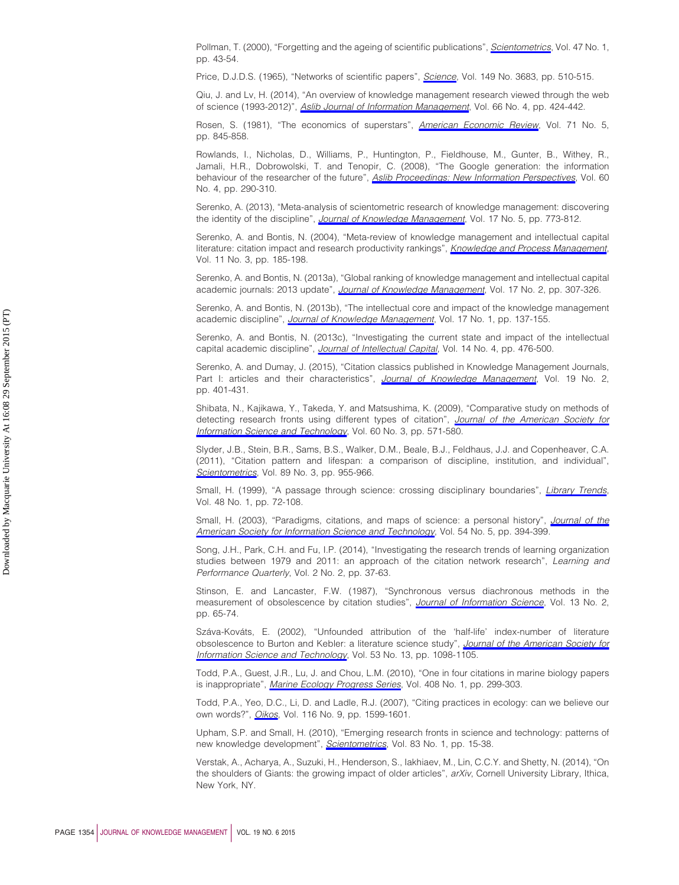<span id="page-20-14"></span>Pollman, T. (2000), "Forgetting and the ageing of scientific publications", *[Scientometrics](http://www.emeraldinsight.com/action/showLinks?crossref=10.1023%2FA%3A1005613725039&isi=000088918500004)*, Vol. 47 No. 1, pp. 43-54.

<span id="page-20-4"></span>Price, D.J.D.S. (1965), "Networks of scientific papers", *[Science](http://www.emeraldinsight.com/action/showLinks?crossref=10.1126%2Fscience.149.3683.510&isi=A19656660700006)*, Vol. 149 No. 3683, pp. 510-515.

<span id="page-20-16"></span>Qiu, J. and Lv, H. (2014), "An overview of knowledge management research viewed through the web of science (1993-2012)", *[Aslib Journal of Information Management](http://www.emeraldinsight.com/action/showLinks?system=10.1108%2FAJIM-12-2013-0133)*, Vol. 66 No. 4, pp. 424-442.

<span id="page-20-19"></span>Rosen, S. (1981), "The economics of superstars", *[American Economic Review](http://www.emeraldinsight.com/action/showLinks?isi=A1981MU55900002)*, Vol. 71 No. 5, pp. 845-858.

<span id="page-20-21"></span>Rowlands, I., Nicholas, D., Williams, P., Huntington, P., Fieldhouse, M., Gunter, B., Withey, R., Jamali, H.R., Dobrowolski, T. and Tenopir, C. (2008), "The Google generation: the information behaviour of the researcher of the future", *[Aslib Proceedings: New Information Perspectives](http://www.emeraldinsight.com/action/showLinks?system=10.1108%2F00012530810887953&isi=000259203400002)*, Vol. 60 No. 4, pp. 290-310.

<span id="page-20-15"></span>Serenko, A. (2013), "Meta-analysis of scientometric research of knowledge management: discovering the identity of the discipline", *[Journal of Knowledge Management](http://www.emeraldinsight.com/action/showLinks?system=10.1108%2FJKM-05-2013-0166)*, Vol. 17 No. 5, pp. 773-812.

<span id="page-20-20"></span>Serenko, A. and Bontis, N. (2004), "Meta-review of knowledge management and intellectual capital literature: citation impact and research productivity rankings", *[Knowledge and Process Management](http://www.emeraldinsight.com/action/showLinks?crossref=10.1002%2Fkpm.203)*, Vol. 11 No. 3, pp. 185-198.

<span id="page-20-11"></span>Serenko, A. and Bontis, N. (2013a), "Global ranking of knowledge management and intellectual capital academic journals: 2013 update", *[Journal of Knowledge Management](http://www.emeraldinsight.com/action/showLinks?system=10.1108%2F13673271311315231)*, Vol. 17 No. 2, pp. 307-326.

<span id="page-20-2"></span>Serenko, A. and Bontis, N. (2013b), "The intellectual core and impact of the knowledge management academic discipline", *[Journal of Knowledge Management](http://www.emeraldinsight.com/action/showLinks?system=10.1108%2F13673271311300840)*, Vol. 17 No. 1, pp. 137-155.

<span id="page-20-1"></span>Serenko, A. and Bontis, N. (2013c), "Investigating the current state and impact of the intellectual capital academic discipline", *[Journal of Intellectual Capital](http://www.emeraldinsight.com/action/showLinks?system=10.1108%2FJIC-11-2012-0099)*, Vol. 14 No. 4, pp. 476-500.

<span id="page-20-0"></span>Serenko, A. and Dumay, J. (2015), "Citation classics published in Knowledge Management Journals, Part I: articles and their characteristics", *[Journal of Knowledge Management](http://www.emeraldinsight.com/action/showLinks?system=10.1108%2FJKM-06-2014-0220&isi=000354649300013)*, Vol. 19 No. 2, pp. 401-431.

<span id="page-20-5"></span>Shibata, N., Kajikawa, Y., Takeda, Y. and Matsushima, K. (2009), "Comparative study on methods of detecting research fronts using different types of citation", *[Journal of the American Society for](http://www.emeraldinsight.com/action/showLinks?crossref=10.1002%2Fasi.20994&isi=000263935100011) [Information Science and Technology](http://www.emeraldinsight.com/action/showLinks?crossref=10.1002%2Fasi.20994&isi=000263935100011)*, Vol. 60 No. 3, pp. 571-580.

<span id="page-20-18"></span>Slyder, J.B., Stein, B.R., Sams, B.S., Walker, D.M., Beale, B.J., Feldhaus, J.J. and Copenheaver, C.A. (2011), "Citation pattern and lifespan: a comparison of discipline, institution, and individual", *[Scientometrics](http://www.emeraldinsight.com/action/showLinks?crossref=10.1007%2Fs11192-011-0467-x&isi=000296474400014)*, Vol. 89 No. 3, pp. 955-966.

<span id="page-20-8"></span>Small, H. (1999), "A passage through science: crossing disciplinary boundaries", *[Library Trends](http://www.emeraldinsight.com/action/showLinks?isi=000083096700006)*, Vol. 48 No. 1, pp. 72-108.

<span id="page-20-6"></span>Small, H. (2003), "Paradigms, citations, and maps of science: a personal history", *[Journal of the](http://www.emeraldinsight.com/action/showLinks?crossref=10.1002%2Fasi.10225&isi=000181238300006) [American Society for Information Science and Technology](http://www.emeraldinsight.com/action/showLinks?crossref=10.1002%2Fasi.10225&isi=000181238300006)*, Vol. 54 No. 5, pp. 394-399.

<span id="page-20-3"></span>Song, J.H., Park, C.H. and Fu, I.P. (2014), "Investigating the research trends of learning organization studies between 1979 and 2011: an approach of the citation network research", *Learning and Performance Quarterly*, Vol. 2 No. 2, pp. 37-63.

<span id="page-20-9"></span>Stinson, E. and Lancaster, F.W. (1987), "Synchronous versus diachronous methods in the measurement of obsolescence by citation studies", *[Journal of Information Science](http://www.emeraldinsight.com/action/showLinks?crossref=10.1177%2F016555158701300201&isi=A1987H316800001)*, Vol. 13 No. 2, pp. 65-74.

<span id="page-20-10"></span>Száva-Kováts, E. (2002), "Unfounded attribution of the 'half-life' index-number of literature obsolescence to Burton and Kebler: a literature science study", *[Journal of the American Society for](http://www.emeraldinsight.com/action/showLinks?crossref=10.1002%2Fasi.10105&isi=000178776600003) [Information Science and Technology](http://www.emeraldinsight.com/action/showLinks?crossref=10.1002%2Fasi.10105&isi=000178776600003)*, Vol. 53 No. 13, pp. 1098-1105.

<span id="page-20-13"></span>Todd, P.A., Guest, J.R., Lu, J. and Chou, L.M. (2010), "One in four citations in marine biology papers is inappropriate", *[Marine Ecology Progress Series](http://www.emeraldinsight.com/action/showLinks?crossref=10.3354%2Fmeps08587)*, Vol. 408 No. 1, pp. 299-303.

<span id="page-20-12"></span>Todd, P.A., Yeo, D.C., Li, D. and Ladle, R.J. (2007), "Citing practices in ecology: can we believe our own words?", *[Oikos](http://www.emeraldinsight.com/action/showLinks?crossref=10.1111%2Fj.0030-1299.2007.15992.x&isi=000249195000018)*, Vol. 116 No. 9, pp. 1599-1601.

<span id="page-20-7"></span>Upham, S.P. and Small, H. (2010), "Emerging research fronts in science and technology: patterns of new knowledge development", *[Scientometrics](http://www.emeraldinsight.com/action/showLinks?crossref=10.1007%2Fs11192-009-0051-9&isi=000275417400002)*, Vol. 83 No. 1, pp. 15-38.

<span id="page-20-17"></span>Verstak, A., Acharya, A., Suzuki, H., Henderson, S., Iakhiaev, M., Lin, C.C.Y. and Shetty, N. (2014), "On the shoulders of Giants: the growing impact of older articles", *arXiv*, Cornell University Library, Ithica, New York, NY.